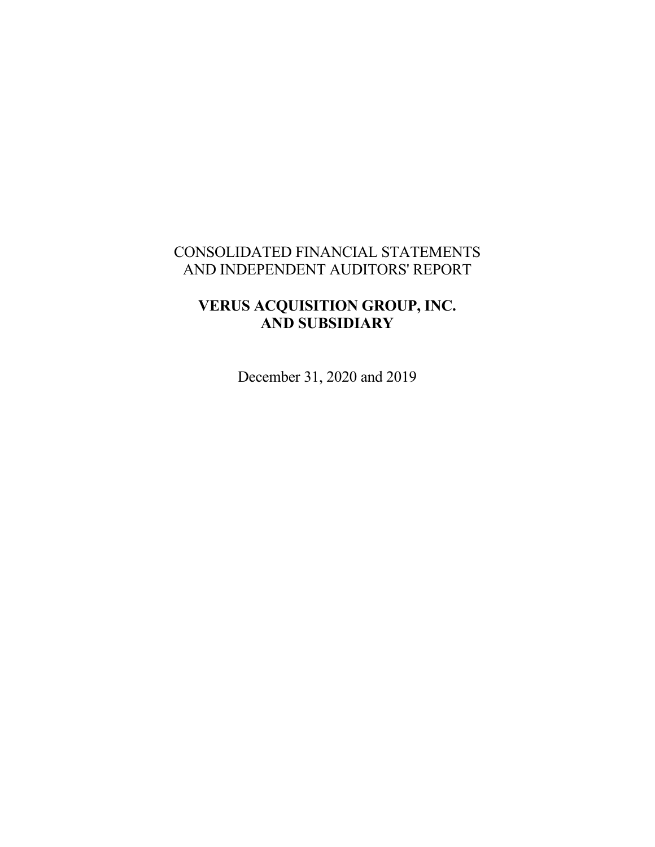# CONSOLIDATED FINANCIAL STATEMENTS AND INDEPENDENT AUDITORS' REPORT

# **VERUS ACQUISITION GROUP, INC. AND SUBSIDIARY**

December 31, 2020 and 2019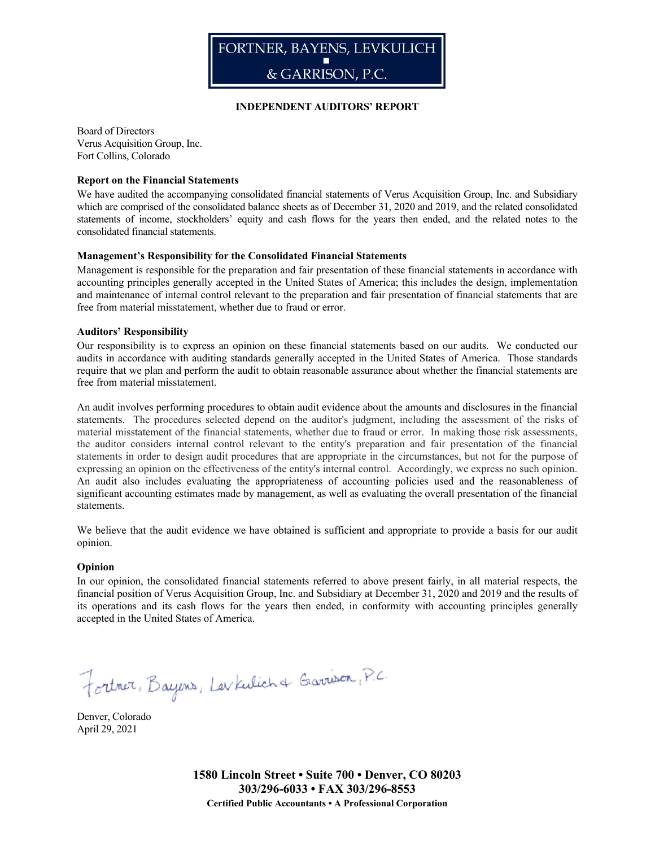

#### **INDEPENDENT AUDITORS' REPORT**

Board of Directors Verus Acquisition Group, Inc. Fort Collins, Colorado

#### **Report on the Financial Statements**

We have audited the accompanying consolidated financial statements of Verus Acquisition Group, Inc. and Subsidiary which are comprised of the consolidated balance sheets as of December 31, 2020 and 2019, and the related consolidated statements of income, stockholders' equity and cash flows for the years then ended, and the related notes to the consolidated financial statements.

#### **Management's Responsibility for the Consolidated Financial Statements**

Management is responsible for the preparation and fair presentation of these financial statements in accordance with accounting principles generally accepted in the United States of America; this includes the design, implementation and maintenance of internal control relevant to the preparation and fair presentation of financial statements that are free from material misstatement, whether due to fraud or error.

#### **Auditors' Responsibility**

Our responsibility is to express an opinion on these financial statements based on our audits. We conducted our audits in accordance with auditing standards generally accepted in the United States of America. Those standards require that we plan and perform the audit to obtain reasonable assurance about whether the financial statements are free from material misstatement.

An audit involves performing procedures to obtain audit evidence about the amounts and disclosures in the financial statements. The procedures selected depend on the auditor's judgment, including the assessment of the risks of material misstatement of the financial statements, whether due to fraud or error. In making those risk assessments, the auditor considers internal control relevant to the entity's preparation and fair presentation of the financial statements in order to design audit procedures that are appropriate in the circumstances, but not for the purpose of expressing an opinion on the effectiveness of the entity's internal control. Accordingly, we express no such opinion. An audit also includes evaluating the appropriateness of accounting policies used and the reasonableness of significant accounting estimates made by management, as well as evaluating the overall presentation of the financial statements.

We believe that the audit evidence we have obtained is sufficient and appropriate to provide a basis for our audit opinion.

#### **Opinion**

In our opinion, the consolidated financial statements referred to above present fairly, in all material respects, the financial position of Verus Acquisition Group, Inc. and Subsidiary at December 31, 2020 and 2019 and the results of its operations and its cash flows for the years then ended, in conformity with accounting principles generally accepted in the United States of America.

Fortner, Bayers, Levkulich & Gravison, P.C.

Denver, Colorado April 29, 2021

> **1580 Lincoln Street • Suite 700 • Denver, CO 80203 303/296-6033 • FAX 303/296-8553 Certified Public Accountants • A Professional Corporation**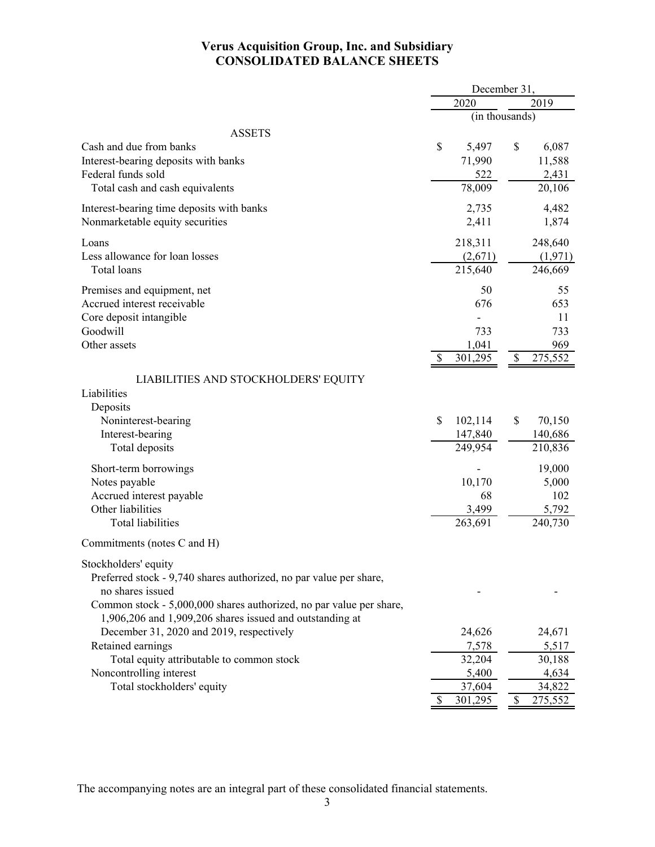### **Verus Acquisition Group, Inc. and Subsidiary CONSOLIDATED BALANCE SHEETS**

|                                                                     | December 31, |                |    |         |  |  |  |
|---------------------------------------------------------------------|--------------|----------------|----|---------|--|--|--|
|                                                                     |              | 2020           |    | 2019    |  |  |  |
|                                                                     |              | (in thousands) |    |         |  |  |  |
| <b>ASSETS</b>                                                       |              |                |    |         |  |  |  |
| Cash and due from banks                                             | \$           | 5,497          | \$ | 6,087   |  |  |  |
| Interest-bearing deposits with banks                                |              | 71,990         |    | 11,588  |  |  |  |
| Federal funds sold                                                  |              | 522            |    | 2,431   |  |  |  |
| Total cash and cash equivalents                                     |              | 78,009         |    | 20,106  |  |  |  |
| Interest-bearing time deposits with banks                           |              | 2,735          |    | 4,482   |  |  |  |
| Nonmarketable equity securities                                     |              | 2,411          |    | 1,874   |  |  |  |
| Loans                                                               |              | 218,311        |    | 248,640 |  |  |  |
| Less allowance for loan losses                                      |              | (2,671)        |    | (1,971) |  |  |  |
| Total loans                                                         |              | 215,640        |    | 246,669 |  |  |  |
| Premises and equipment, net                                         |              | 50             |    | 55      |  |  |  |
| Accrued interest receivable                                         |              | 676            |    | 653     |  |  |  |
| Core deposit intangible                                             |              |                |    | 11      |  |  |  |
| Goodwill                                                            |              | 733            |    | 733     |  |  |  |
| Other assets                                                        |              | 1,041          |    | 969     |  |  |  |
|                                                                     | \$           | 301,295        | \$ | 275,552 |  |  |  |
| LIABILITIES AND STOCKHOLDERS' EQUITY                                |              |                |    |         |  |  |  |
| Liabilities                                                         |              |                |    |         |  |  |  |
| Deposits                                                            |              |                |    |         |  |  |  |
| Noninterest-bearing                                                 | \$           | 102,114        | \$ | 70,150  |  |  |  |
| Interest-bearing                                                    |              | 147,840        |    | 140,686 |  |  |  |
| Total deposits                                                      |              | 249,954        |    | 210,836 |  |  |  |
| Short-term borrowings                                               |              |                |    | 19,000  |  |  |  |
| Notes payable                                                       |              | 10,170         |    | 5,000   |  |  |  |
| Accrued interest payable                                            |              | 68             |    | 102     |  |  |  |
| Other liabilities                                                   |              | 3,499          |    | 5,792   |  |  |  |
| <b>Total liabilities</b>                                            |              | 263,691        |    | 240,730 |  |  |  |
| Commitments (notes C and H)                                         |              |                |    |         |  |  |  |
| Stockholders' equity                                                |              |                |    |         |  |  |  |
| Preferred stock - 9,740 shares authorized, no par value per share,  |              |                |    |         |  |  |  |
| no shares issued                                                    |              |                |    |         |  |  |  |
| Common stock - 5,000,000 shares authorized, no par value per share, |              |                |    |         |  |  |  |
| 1,906,206 and 1,909,206 shares issued and outstanding at            |              |                |    |         |  |  |  |
| December 31, 2020 and 2019, respectively                            |              | 24,626         |    | 24,671  |  |  |  |
| Retained earnings                                                   |              | 7,578          |    | 5,517   |  |  |  |
| Total equity attributable to common stock                           |              | 32,204         |    | 30,188  |  |  |  |
| Noncontrolling interest                                             |              | 5,400          |    | 4,634   |  |  |  |
| Total stockholders' equity                                          |              | 37,604         |    | 34,822  |  |  |  |
|                                                                     |              | 301,295        | \$ | 275,552 |  |  |  |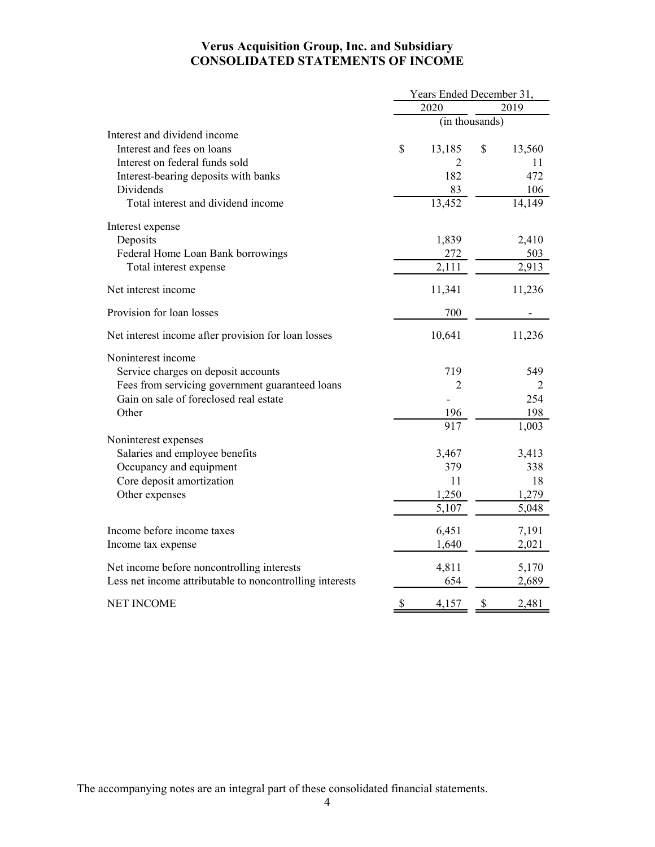### **Verus Acquisition Group, Inc. and Subsidiary CONSOLIDATED STATEMENTS OF INCOME**

|                                                          | Years Ended December 31, |                |    |        |  |  |  |
|----------------------------------------------------------|--------------------------|----------------|----|--------|--|--|--|
|                                                          |                          | 2020           |    | 2019   |  |  |  |
|                                                          |                          | (in thousands) |    |        |  |  |  |
| Interest and dividend income                             |                          |                |    |        |  |  |  |
| Interest and fees on loans                               | \$                       | 13,185         | \$ | 13,560 |  |  |  |
| Interest on federal funds sold                           |                          | 2              |    | 11     |  |  |  |
| Interest-bearing deposits with banks                     |                          | 182            |    | 472    |  |  |  |
| Dividends                                                |                          | 83             |    | 106    |  |  |  |
| Total interest and dividend income                       |                          | 13,452         |    | 14,149 |  |  |  |
| Interest expense                                         |                          |                |    |        |  |  |  |
| Deposits                                                 |                          | 1,839          |    | 2,410  |  |  |  |
| Federal Home Loan Bank borrowings                        |                          | 272            |    | 503    |  |  |  |
| Total interest expense                                   |                          | 2,111          |    | 2,913  |  |  |  |
| Net interest income                                      |                          | 11,341         |    | 11,236 |  |  |  |
| Provision for loan losses                                |                          | 700            |    |        |  |  |  |
| Net interest income after provision for loan losses      |                          | 10,641         |    | 11,236 |  |  |  |
| Noninterest income                                       |                          |                |    |        |  |  |  |
| Service charges on deposit accounts                      |                          | 719            |    | 549    |  |  |  |
| Fees from servicing government guaranteed loans          |                          | $\overline{2}$ |    | 2      |  |  |  |
| Gain on sale of foreclosed real estate                   |                          |                |    | 254    |  |  |  |
| Other                                                    |                          | 196            |    | 198    |  |  |  |
|                                                          |                          | 917            |    | 1,003  |  |  |  |
| Noninterest expenses                                     |                          |                |    |        |  |  |  |
| Salaries and employee benefits                           |                          | 3,467          |    | 3,413  |  |  |  |
| Occupancy and equipment                                  |                          | 379            |    | 338    |  |  |  |
| Core deposit amortization                                |                          | 11             |    | 18     |  |  |  |
| Other expenses                                           |                          | 1,250          |    | 1,279  |  |  |  |
|                                                          |                          | 5,107          |    | 5,048  |  |  |  |
| Income before income taxes                               |                          | 6,451          |    | 7,191  |  |  |  |
| Income tax expense                                       |                          | 1,640          |    | 2,021  |  |  |  |
| Net income before noncontrolling interests               |                          | 4,811          |    | 5,170  |  |  |  |
| Less net income attributable to noncontrolling interests |                          | 654            |    | 2,689  |  |  |  |
| <b>NET INCOME</b>                                        | \$                       | 4,157          | \$ | 2,481  |  |  |  |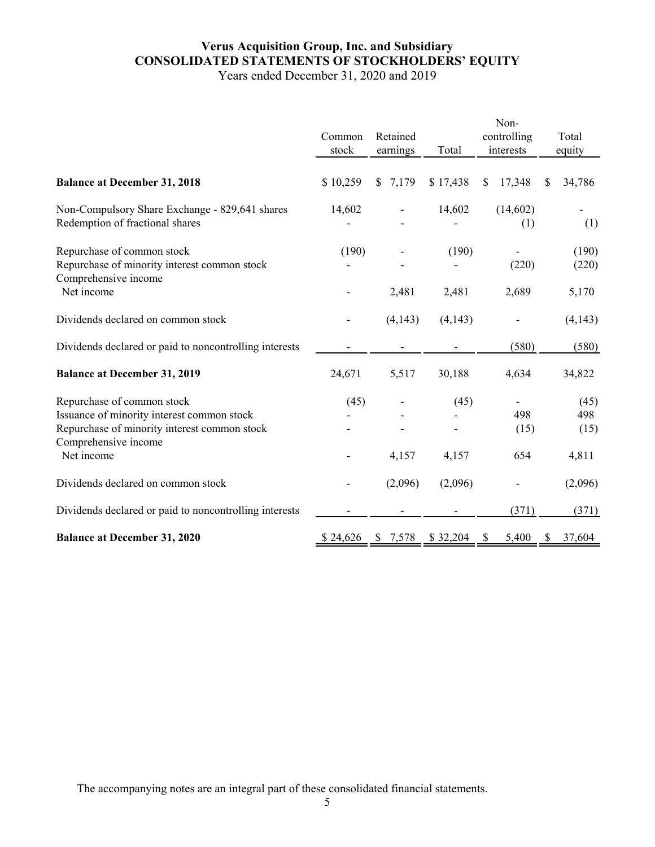## **Verus Acquisition Group, Inc. and Subsidiary CONSOLIDATED STATEMENTS OF STOCKHOLDERS' EQUITY**

Years ended December 31, 2020 and 2019

|                                                                                                    | Common<br>stock | Retained<br>earnings | Total    | Non-<br>controlling<br>interests | Total<br>equity |
|----------------------------------------------------------------------------------------------------|-----------------|----------------------|----------|----------------------------------|-----------------|
| <b>Balance at December 31, 2018</b>                                                                | \$10,259        | \$7,179              | \$17,438 | 17,348<br>$\mathbb{S}$           | 34,786<br>\$    |
| Non-Compulsory Share Exchange - 829,641 shares<br>Redemption of fractional shares                  | 14,602          |                      | 14,602   | (14,602)<br>(1)                  | (1)             |
| Repurchase of common stock<br>Repurchase of minority interest common stock<br>Comprehensive income | (190)           |                      | (190)    | (220)                            | (190)<br>(220)  |
| Net income                                                                                         |                 | 2,481                | 2,481    | 2,689                            | 5,170           |
| Dividends declared on common stock                                                                 |                 | (4, 143)             | (4,143)  |                                  | (4,143)         |
| Dividends declared or paid to noncontrolling interests                                             |                 |                      |          | (580)                            | (580)           |
| <b>Balance at December 31, 2019</b>                                                                | 24,671          | 5,517                | 30,188   | 4,634                            | 34,822          |
| Repurchase of common stock<br>Issuance of minority interest common stock                           | (45)            |                      | (45)     | 498                              | (45)<br>498     |
| Repurchase of minority interest common stock<br>Comprehensive income                               |                 |                      |          | (15)                             | (15)            |
| Net income                                                                                         |                 | 4,157                | 4,157    | 654                              | 4,811           |
| Dividends declared on common stock                                                                 |                 | (2,096)              | (2,096)  |                                  | (2,096)         |
| Dividends declared or paid to noncontrolling interests                                             |                 |                      |          | (371)                            | (371)           |
| <b>Balance at December 31, 2020</b>                                                                | \$24,626        | \$7,578              | \$32,204 | 5,400<br>\$                      | \$<br>37,604    |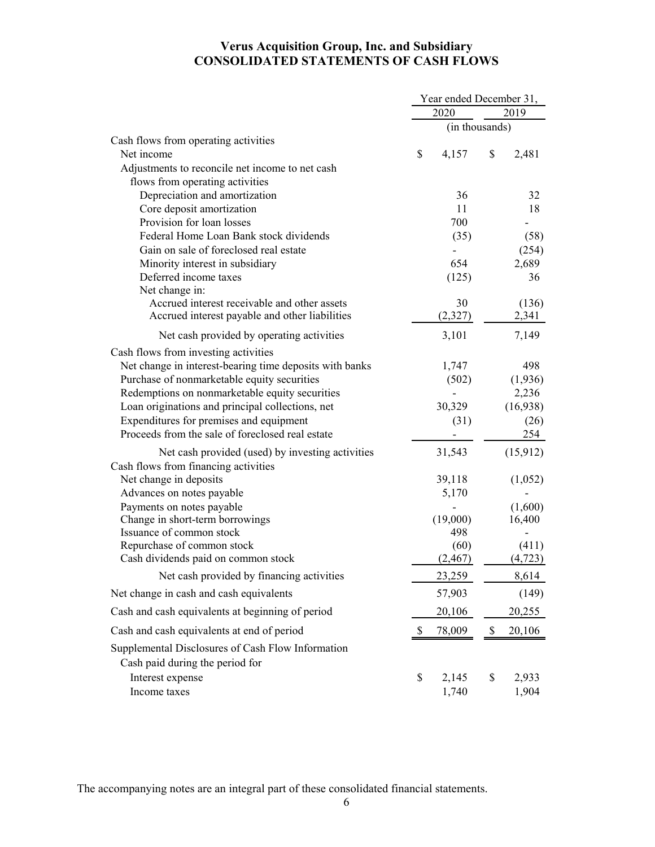### **Verus Acquisition Group, Inc. and Subsidiary CONSOLIDATED STATEMENTS OF CASH FLOWS**

|                                                              | Year ended December 31, |                |                   |  |  |
|--------------------------------------------------------------|-------------------------|----------------|-------------------|--|--|
|                                                              | 2020                    |                | 2019              |  |  |
|                                                              |                         | (in thousands) |                   |  |  |
| Cash flows from operating activities                         |                         |                |                   |  |  |
| Net income                                                   | \$<br>4,157             | \$             | 2,481             |  |  |
| Adjustments to reconcile net income to net cash              |                         |                |                   |  |  |
| flows from operating activities                              |                         |                |                   |  |  |
| Depreciation and amortization                                | 36                      |                | 32                |  |  |
| Core deposit amortization<br>Provision for loan losses       | 11<br>700               |                | 18                |  |  |
| Federal Home Loan Bank stock dividends                       | (35)                    |                | (58)              |  |  |
| Gain on sale of foreclosed real estate                       |                         |                | (254)             |  |  |
| Minority interest in subsidiary                              | 654                     |                | 2,689             |  |  |
| Deferred income taxes                                        | (125)                   |                | 36                |  |  |
| Net change in:                                               |                         |                |                   |  |  |
| Accrued interest receivable and other assets                 | 30                      |                | (136)             |  |  |
| Accrued interest payable and other liabilities               | (2,327)                 |                | 2,341             |  |  |
| Net cash provided by operating activities                    | 3,101                   |                | 7,149             |  |  |
| Cash flows from investing activities                         |                         |                |                   |  |  |
| Net change in interest-bearing time deposits with banks      | 1,747                   |                | 498               |  |  |
| Purchase of nonmarketable equity securities                  | (502)                   |                | (1,936)           |  |  |
| Redemptions on nonmarketable equity securities               |                         |                | 2,236             |  |  |
| Loan originations and principal collections, net             | 30,329                  |                | (16,938)          |  |  |
| Expenditures for premises and equipment                      | (31)                    |                | (26)              |  |  |
| Proceeds from the sale of foreclosed real estate             |                         |                | 254               |  |  |
| Net cash provided (used) by investing activities             | 31,543                  |                | (15,912)          |  |  |
| Cash flows from financing activities                         |                         |                |                   |  |  |
| Net change in deposits                                       | 39,118                  |                | (1,052)           |  |  |
| Advances on notes payable                                    | 5,170                   |                |                   |  |  |
| Payments on notes payable<br>Change in short-term borrowings |                         |                | (1,600)<br>16,400 |  |  |
| Issuance of common stock                                     | (19,000)<br>498         |                |                   |  |  |
| Repurchase of common stock                                   | (60)                    |                | (411)             |  |  |
| Cash dividends paid on common stock                          | (2, 467)                |                | (4, 723)          |  |  |
| Net cash provided by financing activities                    | 23,259                  |                | 8,614             |  |  |
| Net change in cash and cash equivalents                      | 57,903                  |                | (149)             |  |  |
| Cash and cash equivalents at beginning of period             | 20,106                  |                | 20,255            |  |  |
| Cash and cash equivalents at end of period                   | \$<br>78,009            | \$             | 20,106            |  |  |
| Supplemental Disclosures of Cash Flow Information            |                         |                |                   |  |  |
| Cash paid during the period for                              |                         |                |                   |  |  |
| Interest expense                                             | \$<br>2,145             | \$             | 2,933             |  |  |
| Income taxes                                                 | 1,740                   |                | 1,904             |  |  |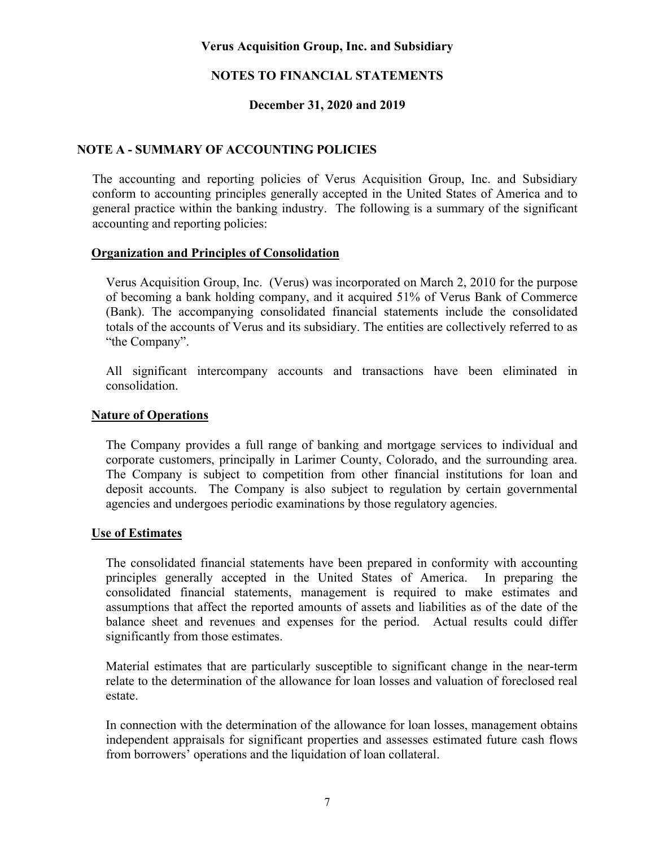### **NOTES TO FINANCIAL STATEMENTS**

### **December 31, 2020 and 2019**

### **NOTE A - SUMMARY OF ACCOUNTING POLICIES**

The accounting and reporting policies of Verus Acquisition Group, Inc. and Subsidiary conform to accounting principles generally accepted in the United States of America and to general practice within the banking industry. The following is a summary of the significant accounting and reporting policies:

### **Organization and Principles of Consolidation**

Verus Acquisition Group, Inc. (Verus) was incorporated on March 2, 2010 for the purpose of becoming a bank holding company, and it acquired 51% of Verus Bank of Commerce (Bank). The accompanying consolidated financial statements include the consolidated totals of the accounts of Verus and its subsidiary. The entities are collectively referred to as "the Company".

All significant intercompany accounts and transactions have been eliminated in consolidation.

### **Nature of Operations**

The Company provides a full range of banking and mortgage services to individual and corporate customers, principally in Larimer County, Colorado, and the surrounding area. The Company is subject to competition from other financial institutions for loan and deposit accounts. The Company is also subject to regulation by certain governmental agencies and undergoes periodic examinations by those regulatory agencies.

### **Use of Estimates**

The consolidated financial statements have been prepared in conformity with accounting principles generally accepted in the United States of America. In preparing the consolidated financial statements, management is required to make estimates and assumptions that affect the reported amounts of assets and liabilities as of the date of the balance sheet and revenues and expenses for the period. Actual results could differ significantly from those estimates.

Material estimates that are particularly susceptible to significant change in the near-term relate to the determination of the allowance for loan losses and valuation of foreclosed real estate.

In connection with the determination of the allowance for loan losses, management obtains independent appraisals for significant properties and assesses estimated future cash flows from borrowers' operations and the liquidation of loan collateral.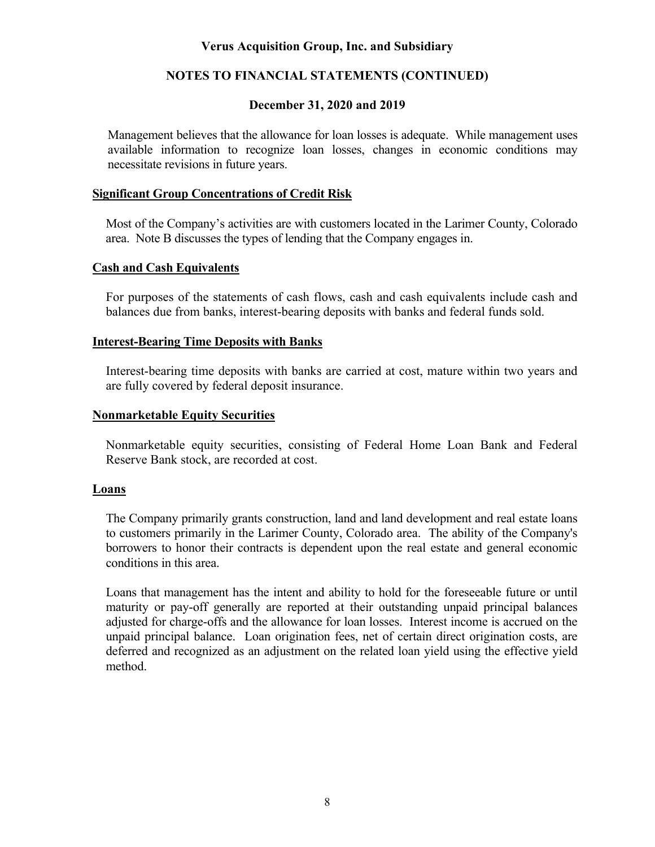### **NOTES TO FINANCIAL STATEMENTS (CONTINUED)**

### **December 31, 2020 and 2019**

Management believes that the allowance for loan losses is adequate. While management uses available information to recognize loan losses, changes in economic conditions may necessitate revisions in future years.

### **Significant Group Concentrations of Credit Risk**

Most of the Company's activities are with customers located in the Larimer County, Colorado area. Note B discusses the types of lending that the Company engages in.

### **Cash and Cash Equivalents**

For purposes of the statements of cash flows, cash and cash equivalents include cash and balances due from banks, interest-bearing deposits with banks and federal funds sold.

### **Interest-Bearing Time Deposits with Banks**

Interest-bearing time deposits with banks are carried at cost, mature within two years and are fully covered by federal deposit insurance.

### **Nonmarketable Equity Securities**

Nonmarketable equity securities, consisting of Federal Home Loan Bank and Federal Reserve Bank stock, are recorded at cost.

### **Loans**

The Company primarily grants construction, land and land development and real estate loans to customers primarily in the Larimer County, Colorado area. The ability of the Company's borrowers to honor their contracts is dependent upon the real estate and general economic conditions in this area.

Loans that management has the intent and ability to hold for the foreseeable future or until maturity or pay-off generally are reported at their outstanding unpaid principal balances adjusted for charge-offs and the allowance for loan losses. Interest income is accrued on the unpaid principal balance. Loan origination fees, net of certain direct origination costs, are deferred and recognized as an adjustment on the related loan yield using the effective yield method.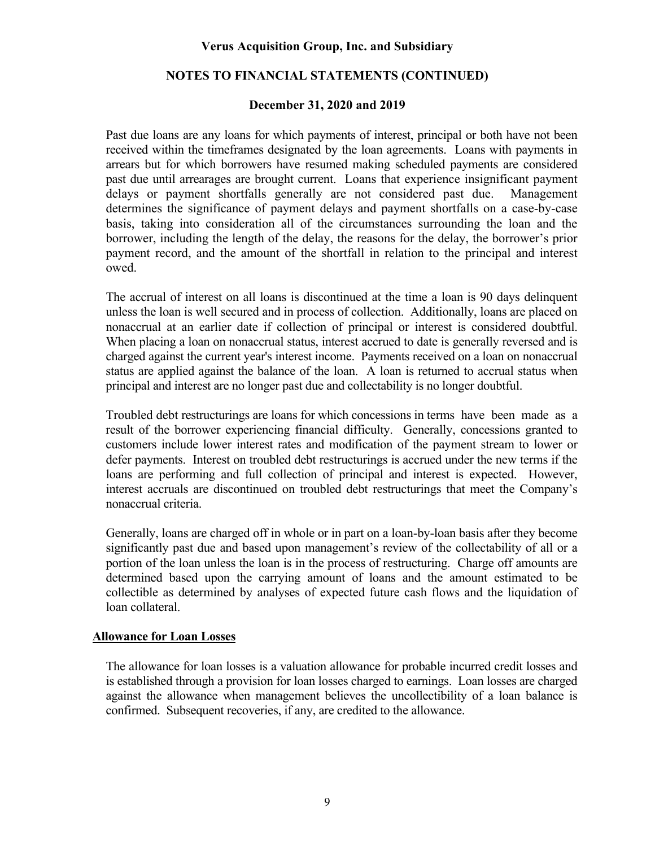### **NOTES TO FINANCIAL STATEMENTS (CONTINUED)**

### **December 31, 2020 and 2019**

Past due loans are any loans for which payments of interest, principal or both have not been received within the timeframes designated by the loan agreements. Loans with payments in arrears but for which borrowers have resumed making scheduled payments are considered past due until arrearages are brought current. Loans that experience insignificant payment delays or payment shortfalls generally are not considered past due. Management determines the significance of payment delays and payment shortfalls on a case-by-case basis, taking into consideration all of the circumstances surrounding the loan and the borrower, including the length of the delay, the reasons for the delay, the borrower's prior payment record, and the amount of the shortfall in relation to the principal and interest owed.

The accrual of interest on all loans is discontinued at the time a loan is 90 days delinquent unless the loan is well secured and in process of collection. Additionally, loans are placed on nonaccrual at an earlier date if collection of principal or interest is considered doubtful. When placing a loan on nonaccrual status, interest accrued to date is generally reversed and is charged against the current year's interest income. Payments received on a loan on nonaccrual status are applied against the balance of the loan. A loan is returned to accrual status when principal and interest are no longer past due and collectability is no longer doubtful.

Troubled debt restructurings are loans for which concessions in terms have been made as a result of the borrower experiencing financial difficulty. Generally, concessions granted to customers include lower interest rates and modification of the payment stream to lower or defer payments. Interest on troubled debt restructurings is accrued under the new terms if the loans are performing and full collection of principal and interest is expected. However, interest accruals are discontinued on troubled debt restructurings that meet the Company's nonaccrual criteria.

Generally, loans are charged off in whole or in part on a loan-by-loan basis after they become significantly past due and based upon management's review of the collectability of all or a portion of the loan unless the loan is in the process of restructuring. Charge off amounts are determined based upon the carrying amount of loans and the amount estimated to be collectible as determined by analyses of expected future cash flows and the liquidation of loan collateral.

### **Allowance for Loan Losses**

The allowance for loan losses is a valuation allowance for probable incurred credit losses and is established through a provision for loan losses charged to earnings. Loan losses are charged against the allowance when management believes the uncollectibility of a loan balance is confirmed. Subsequent recoveries, if any, are credited to the allowance.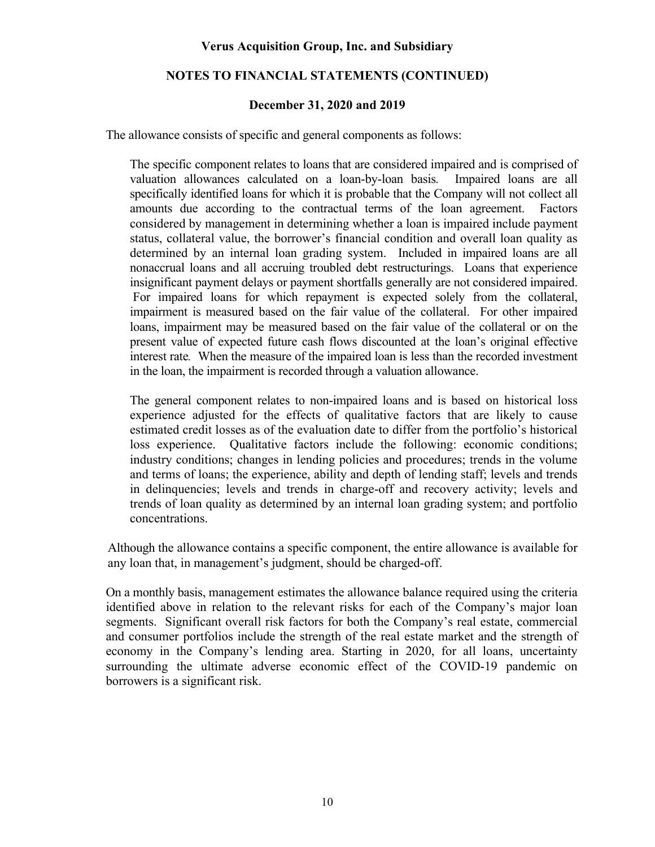### **NOTES TO FINANCIAL STATEMENTS (CONTINUED)**

### **December 31, 2020 and 2019**

The allowance consists of specific and general components as follows:

The specific component relates to loans that are considered impaired and is comprised of valuation allowances calculated on a loan-by-loan basis*.* Impaired loans are all specifically identified loans for which it is probable that the Company will not collect all amounts due according to the contractual terms of the loan agreement. Factors considered by management in determining whether a loan is impaired include payment status, collateral value, the borrower's financial condition and overall loan quality as determined by an internal loan grading system. Included in impaired loans are all nonaccrual loans and all accruing troubled debt restructurings. Loans that experience insignificant payment delays or payment shortfalls generally are not considered impaired. For impaired loans for which repayment is expected solely from the collateral, impairment is measured based on the fair value of the collateral. For other impaired loans, impairment may be measured based on the fair value of the collateral or on the present value of expected future cash flows discounted at the loan's original effective interest rate*.* When the measure of the impaired loan is less than the recorded investment in the loan, the impairment is recorded through a valuation allowance.

The general component relates to non-impaired loans and is based on historical loss experience adjusted for the effects of qualitative factors that are likely to cause estimated credit losses as of the evaluation date to differ from the portfolio's historical loss experience. Qualitative factors include the following: economic conditions; industry conditions; changes in lending policies and procedures; trends in the volume and terms of loans; the experience, ability and depth of lending staff; levels and trends in delinquencies; levels and trends in charge-off and recovery activity; levels and trends of loan quality as determined by an internal loan grading system; and portfolio concentrations.

Although the allowance contains a specific component, the entire allowance is available for any loan that, in management's judgment, should be charged-off.

On a monthly basis, management estimates the allowance balance required using the criteria identified above in relation to the relevant risks for each of the Company's major loan segments. Significant overall risk factors for both the Company's real estate, commercial and consumer portfolios include the strength of the real estate market and the strength of economy in the Company's lending area. Starting in 2020, for all loans, uncertainty surrounding the ultimate adverse economic effect of the COVID-19 pandemic on borrowers is a significant risk.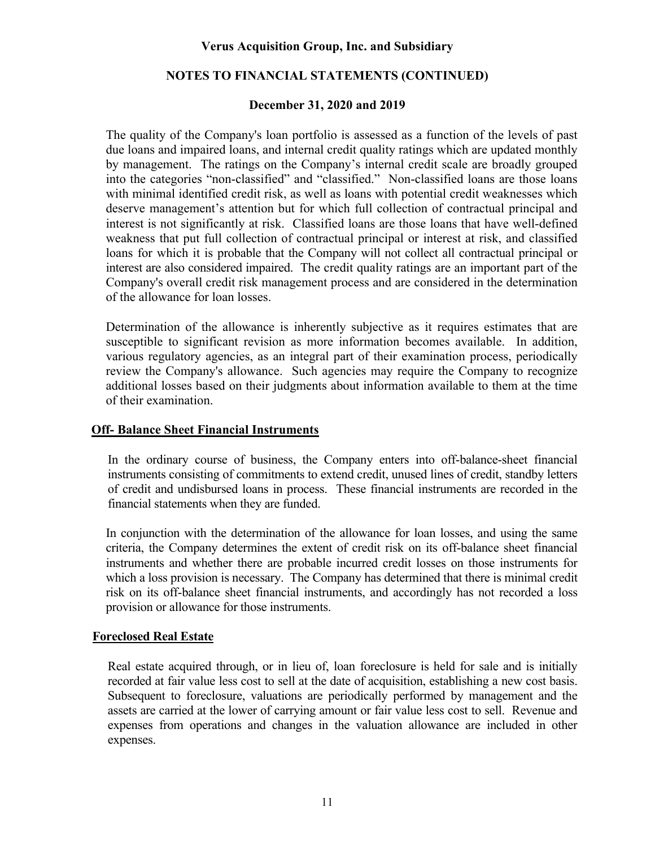### **NOTES TO FINANCIAL STATEMENTS (CONTINUED)**

### **December 31, 2020 and 2019**

The quality of the Company's loan portfolio is assessed as a function of the levels of past due loans and impaired loans, and internal credit quality ratings which are updated monthly by management. The ratings on the Company's internal credit scale are broadly grouped into the categories "non-classified" and "classified." Non-classified loans are those loans with minimal identified credit risk, as well as loans with potential credit weaknesses which deserve management's attention but for which full collection of contractual principal and interest is not significantly at risk. Classified loans are those loans that have well-defined weakness that put full collection of contractual principal or interest at risk, and classified loans for which it is probable that the Company will not collect all contractual principal or interest are also considered impaired. The credit quality ratings are an important part of the Company's overall credit risk management process and are considered in the determination of the allowance for loan losses.

Determination of the allowance is inherently subjective as it requires estimates that are susceptible to significant revision as more information becomes available. In addition, various regulatory agencies, as an integral part of their examination process, periodically review the Company's allowance. Such agencies may require the Company to recognize additional losses based on their judgments about information available to them at the time of their examination.

### **Off- Balance Sheet Financial Instruments**

In the ordinary course of business, the Company enters into off-balance-sheet financial instruments consisting of commitments to extend credit, unused lines of credit, standby letters of credit and undisbursed loans in process. These financial instruments are recorded in the financial statements when they are funded.

In conjunction with the determination of the allowance for loan losses, and using the same criteria, the Company determines the extent of credit risk on its off-balance sheet financial instruments and whether there are probable incurred credit losses on those instruments for which a loss provision is necessary. The Company has determined that there is minimal credit risk on its off-balance sheet financial instruments, and accordingly has not recorded a loss provision or allowance for those instruments.

#### **Foreclosed Real Estate**

Real estate acquired through, or in lieu of, loan foreclosure is held for sale and is initially recorded at fair value less cost to sell at the date of acquisition, establishing a new cost basis. Subsequent to foreclosure, valuations are periodically performed by management and the assets are carried at the lower of carrying amount or fair value less cost to sell. Revenue and expenses from operations and changes in the valuation allowance are included in other expenses.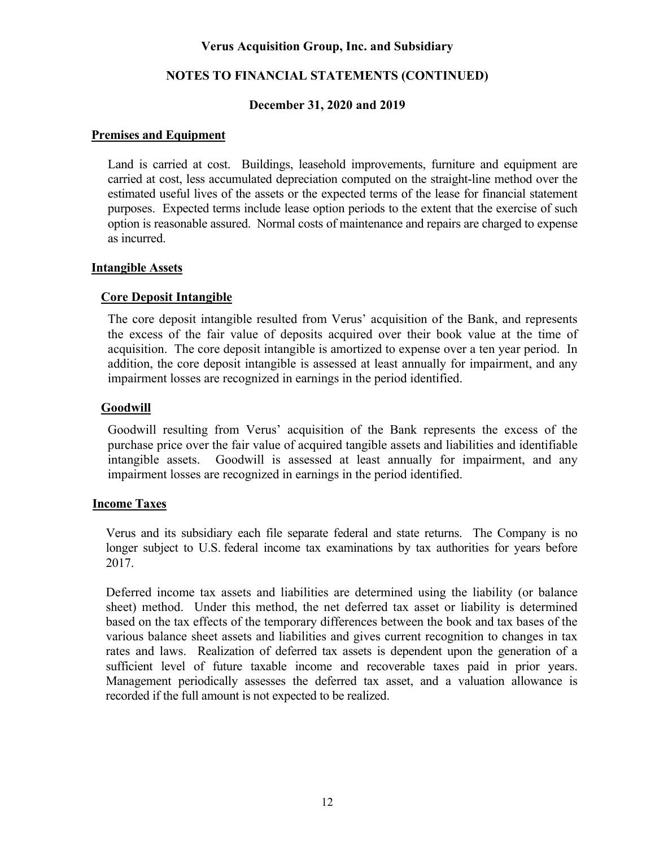### **NOTES TO FINANCIAL STATEMENTS (CONTINUED)**

### **December 31, 2020 and 2019**

### **Premises and Equipment**

Land is carried at cost. Buildings, leasehold improvements, furniture and equipment are carried at cost, less accumulated depreciation computed on the straight-line method over the estimated useful lives of the assets or the expected terms of the lease for financial statement purposes. Expected terms include lease option periods to the extent that the exercise of such option is reasonable assured. Normal costs of maintenance and repairs are charged to expense as incurred.

### **Intangible Assets**

### **Core Deposit Intangible**

The core deposit intangible resulted from Verus' acquisition of the Bank, and represents the excess of the fair value of deposits acquired over their book value at the time of acquisition. The core deposit intangible is amortized to expense over a ten year period. In addition, the core deposit intangible is assessed at least annually for impairment, and any impairment losses are recognized in earnings in the period identified.

### **Goodwill**

Goodwill resulting from Verus' acquisition of the Bank represents the excess of the purchase price over the fair value of acquired tangible assets and liabilities and identifiable intangible assets. Goodwill is assessed at least annually for impairment, and any impairment losses are recognized in earnings in the period identified.

#### **Income Taxes**

Verus and its subsidiary each file separate federal and state returns. The Company is no longer subject to U.S. federal income tax examinations by tax authorities for years before 2017.

Deferred income tax assets and liabilities are determined using the liability (or balance sheet) method. Under this method, the net deferred tax asset or liability is determined based on the tax effects of the temporary differences between the book and tax bases of the various balance sheet assets and liabilities and gives current recognition to changes in tax rates and laws. Realization of deferred tax assets is dependent upon the generation of a sufficient level of future taxable income and recoverable taxes paid in prior years. Management periodically assesses the deferred tax asset, and a valuation allowance is recorded if the full amount is not expected to be realized.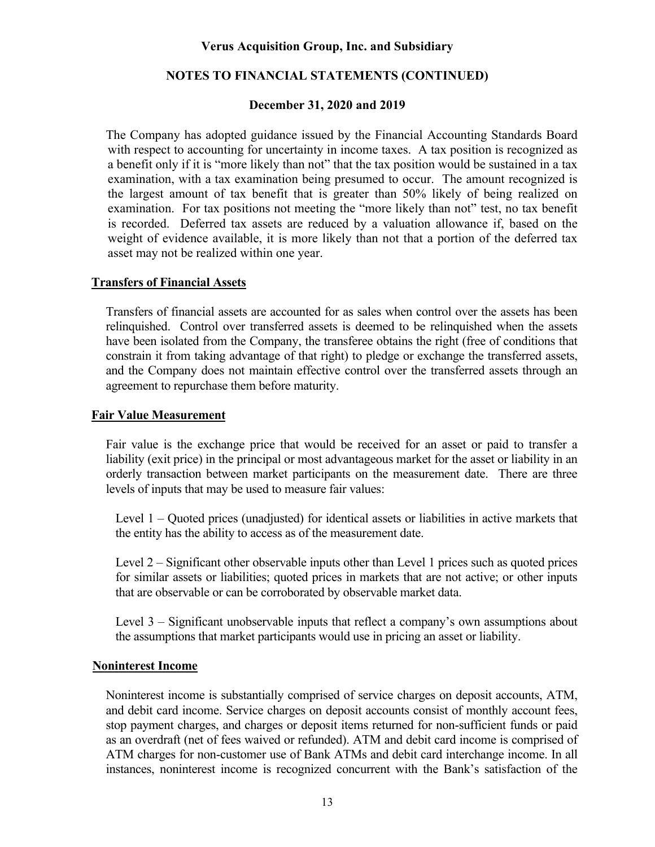### **NOTES TO FINANCIAL STATEMENTS (CONTINUED)**

### **December 31, 2020 and 2019**

The Company has adopted guidance issued by the Financial Accounting Standards Board with respect to accounting for uncertainty in income taxes. A tax position is recognized as a benefit only if it is "more likely than not" that the tax position would be sustained in a tax examination, with a tax examination being presumed to occur. The amount recognized is the largest amount of tax benefit that is greater than 50% likely of being realized on examination. For tax positions not meeting the "more likely than not" test, no tax benefit is recorded. Deferred tax assets are reduced by a valuation allowance if, based on the weight of evidence available, it is more likely than not that a portion of the deferred tax asset may not be realized within one year.

### **Transfers of Financial Assets**

Transfers of financial assets are accounted for as sales when control over the assets has been relinquished. Control over transferred assets is deemed to be relinquished when the assets have been isolated from the Company, the transferee obtains the right (free of conditions that constrain it from taking advantage of that right) to pledge or exchange the transferred assets, and the Company does not maintain effective control over the transferred assets through an agreement to repurchase them before maturity.

### **Fair Value Measurement**

Fair value is the exchange price that would be received for an asset or paid to transfer a liability (exit price) in the principal or most advantageous market for the asset or liability in an orderly transaction between market participants on the measurement date. There are three levels of inputs that may be used to measure fair values:

Level 1 – Quoted prices (unadjusted) for identical assets or liabilities in active markets that the entity has the ability to access as of the measurement date.

Level 2 – Significant other observable inputs other than Level 1 prices such as quoted prices for similar assets or liabilities; quoted prices in markets that are not active; or other inputs that are observable or can be corroborated by observable market data.

Level 3 – Significant unobservable inputs that reflect a company's own assumptions about the assumptions that market participants would use in pricing an asset or liability.

### **Noninterest Income**

Noninterest income is substantially comprised of service charges on deposit accounts, ATM, and debit card income. Service charges on deposit accounts consist of monthly account fees, stop payment charges, and charges or deposit items returned for non-sufficient funds or paid as an overdraft (net of fees waived or refunded). ATM and debit card income is comprised of ATM charges for non-customer use of Bank ATMs and debit card interchange income. In all instances, noninterest income is recognized concurrent with the Bank's satisfaction of the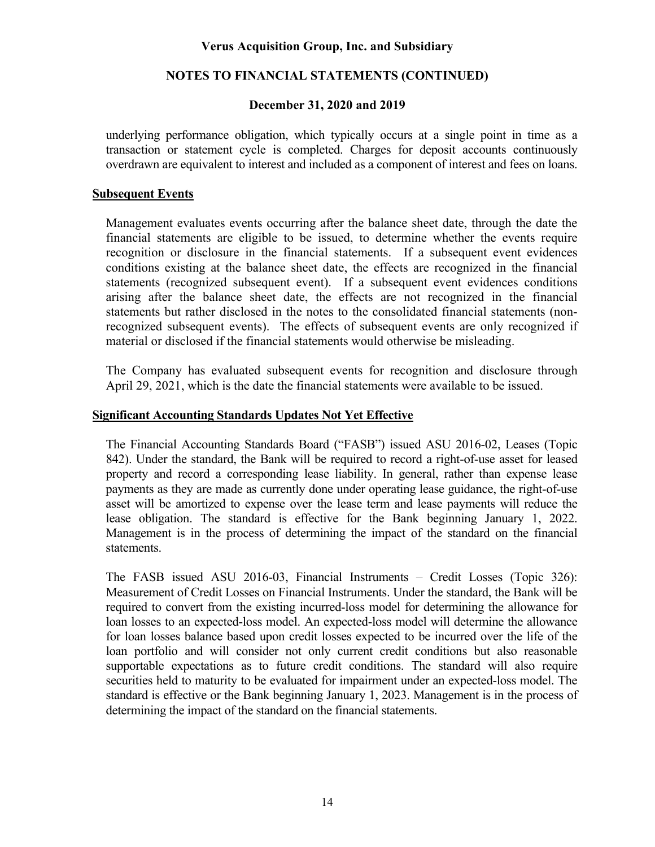### **NOTES TO FINANCIAL STATEMENTS (CONTINUED)**

### **December 31, 2020 and 2019**

underlying performance obligation, which typically occurs at a single point in time as a transaction or statement cycle is completed. Charges for deposit accounts continuously overdrawn are equivalent to interest and included as a component of interest and fees on loans.

### **Subsequent Events**

Management evaluates events occurring after the balance sheet date, through the date the financial statements are eligible to be issued, to determine whether the events require recognition or disclosure in the financial statements. If a subsequent event evidences conditions existing at the balance sheet date, the effects are recognized in the financial statements (recognized subsequent event). If a subsequent event evidences conditions arising after the balance sheet date, the effects are not recognized in the financial statements but rather disclosed in the notes to the consolidated financial statements (nonrecognized subsequent events). The effects of subsequent events are only recognized if material or disclosed if the financial statements would otherwise be misleading.

The Company has evaluated subsequent events for recognition and disclosure through April 29, 2021, which is the date the financial statements were available to be issued.

### **Significant Accounting Standards Updates Not Yet Effective**

The Financial Accounting Standards Board ("FASB") issued ASU 2016-02, Leases (Topic 842). Under the standard, the Bank will be required to record a right-of-use asset for leased property and record a corresponding lease liability. In general, rather than expense lease payments as they are made as currently done under operating lease guidance, the right-of-use asset will be amortized to expense over the lease term and lease payments will reduce the lease obligation. The standard is effective for the Bank beginning January 1, 2022. Management is in the process of determining the impact of the standard on the financial statements.

The FASB issued ASU 2016-03, Financial Instruments – Credit Losses (Topic 326): Measurement of Credit Losses on Financial Instruments. Under the standard, the Bank will be required to convert from the existing incurred-loss model for determining the allowance for loan losses to an expected-loss model. An expected-loss model will determine the allowance for loan losses balance based upon credit losses expected to be incurred over the life of the loan portfolio and will consider not only current credit conditions but also reasonable supportable expectations as to future credit conditions. The standard will also require securities held to maturity to be evaluated for impairment under an expected-loss model. The standard is effective or the Bank beginning January 1, 2023. Management is in the process of determining the impact of the standard on the financial statements.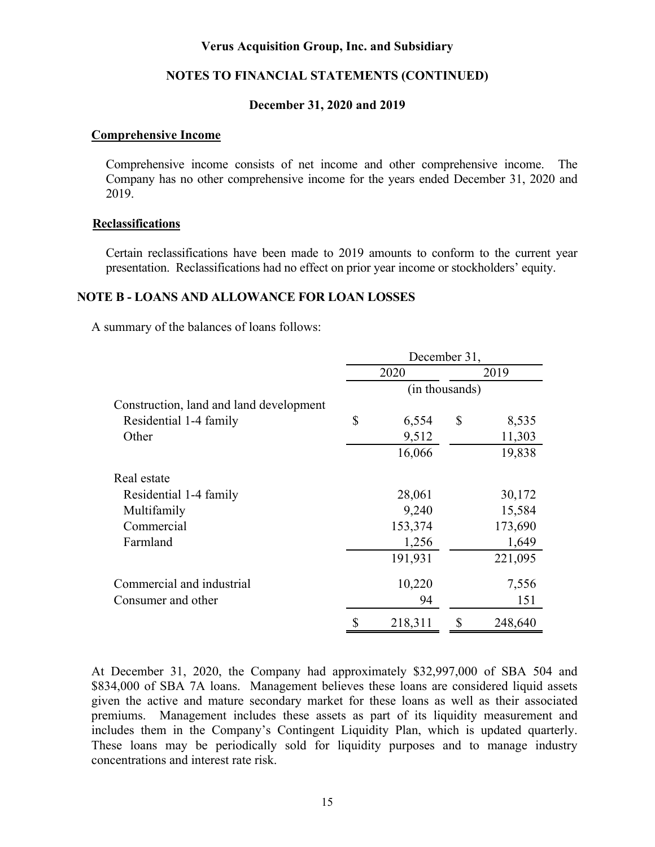#### **NOTES TO FINANCIAL STATEMENTS (CONTINUED)**

### **December 31, 2020 and 2019**

#### **Comprehensive Income**

Comprehensive income consists of net income and other comprehensive income. The Company has no other comprehensive income for the years ended December 31, 2020 and 2019.

#### **Reclassifications**

Certain reclassifications have been made to 2019 amounts to conform to the current year presentation. Reclassifications had no effect on prior year income or stockholders' equity.

#### **NOTE B - LOANS AND ALLOWANCE FOR LOAN LOSSES**

A summary of the balances of loans follows:

|                                         |                | December 31, |    |         |  |  |  |  |  |
|-----------------------------------------|----------------|--------------|----|---------|--|--|--|--|--|
|                                         |                | 2020         |    | 2019    |  |  |  |  |  |
|                                         | (in thousands) |              |    |         |  |  |  |  |  |
| Construction, land and land development |                |              |    |         |  |  |  |  |  |
| Residential 1-4 family                  | \$             | 6,554        | \$ | 8,535   |  |  |  |  |  |
| Other                                   |                | 9,512        |    | 11,303  |  |  |  |  |  |
|                                         |                | 16,066       |    | 19,838  |  |  |  |  |  |
| Real estate                             |                |              |    |         |  |  |  |  |  |
| Residential 1-4 family                  |                | 28,061       |    | 30,172  |  |  |  |  |  |
| Multifamily                             |                | 9,240        |    | 15,584  |  |  |  |  |  |
| Commercial                              |                | 153,374      |    | 173,690 |  |  |  |  |  |
| Farmland                                |                | 1,256        |    | 1,649   |  |  |  |  |  |
|                                         |                | 191,931      |    | 221,095 |  |  |  |  |  |
| Commercial and industrial               |                | 10,220       |    | 7,556   |  |  |  |  |  |
| Consumer and other                      |                | 94           |    | 151     |  |  |  |  |  |
|                                         |                | 218,311      |    | 248,640 |  |  |  |  |  |

At December 31, 2020, the Company had approximately \$32,997,000 of SBA 504 and \$834,000 of SBA 7A loans. Management believes these loans are considered liquid assets given the active and mature secondary market for these loans as well as their associated premiums. Management includes these assets as part of its liquidity measurement and includes them in the Company's Contingent Liquidity Plan, which is updated quarterly. These loans may be periodically sold for liquidity purposes and to manage industry concentrations and interest rate risk.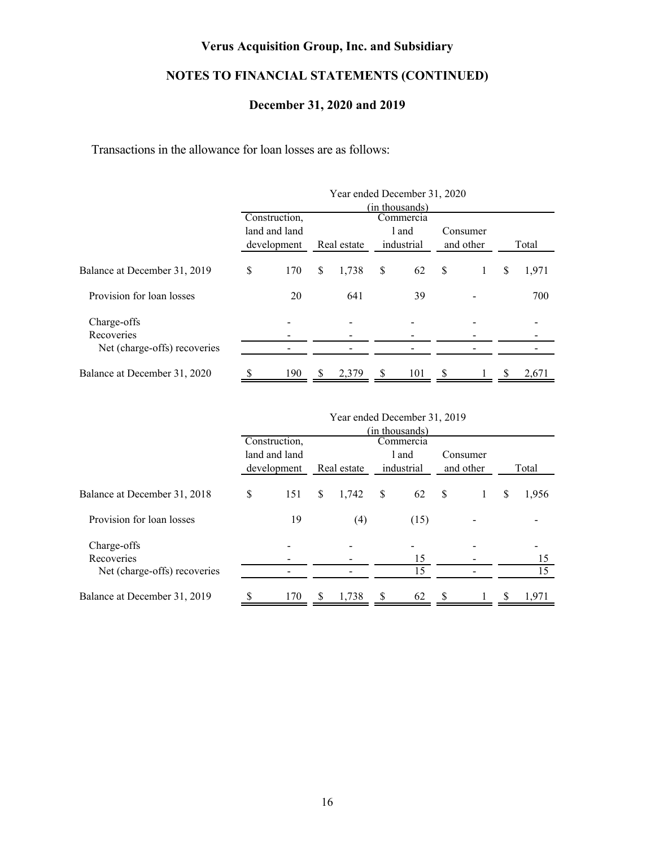## **NOTES TO FINANCIAL STATEMENTS (CONTINUED)**

### **December 31, 2020 and 2019**

Transactions in the allowance for loan losses are as follows:

|                              | Year ended December 31, 2020<br>(in thousands)<br>Construction,<br>Commercia |                              |               |             |    |                     |   |                       |       |       |  |  |  |  |
|------------------------------|------------------------------------------------------------------------------|------------------------------|---------------|-------------|----|---------------------|---|-----------------------|-------|-------|--|--|--|--|
|                              |                                                                              | land and land<br>development |               | Real estate |    | l and<br>industrial |   | Consumer<br>and other | Total |       |  |  |  |  |
| Balance at December 31, 2019 | <sup>\$</sup>                                                                | 170                          |               | 1,738       | \$ | 62                  |   | \$<br>1               |       | 1,971 |  |  |  |  |
| Provision for loan losses    |                                                                              | 20                           |               | 641         |    | 39                  |   |                       |       | 700   |  |  |  |  |
| Charge-offs<br>Recoveries    |                                                                              |                              |               |             |    |                     |   |                       |       |       |  |  |  |  |
| Net (charge-offs) recoveries |                                                                              |                              |               |             |    |                     |   |                       |       |       |  |  |  |  |
| Balance at December 31, 2020 |                                                                              | 190                          | <sup>\$</sup> | 2,379       | S  | 101                 | S |                       | S     | 2,671 |  |  |  |  |

|                              |   |                                          |          | $1$ can chucu December $31, 2013$ |               |                |              |           |   |       |
|------------------------------|---|------------------------------------------|----------|-----------------------------------|---------------|----------------|--------------|-----------|---|-------|
|                              |   |                                          |          |                                   |               | (in thousands) |              |           |   |       |
|                              |   | Construction,                            |          |                                   |               | Commercia      |              |           |   |       |
|                              |   | land and land                            |          |                                   |               | l and          |              | Consumer  |   |       |
|                              |   | industrial<br>Real estate<br>development |          |                                   |               |                |              | and other |   | Total |
| Balance at December 31, 2018 | S | 151                                      | S.       | 1,742                             | <sup>\$</sup> | 62             | $\mathbb{S}$ |           |   | 1,956 |
| Provision for loan losses    |   | 19                                       |          | (4)                               |               | (15)           |              |           |   |       |
| Charge-offs                  |   |                                          |          |                                   |               |                |              |           |   |       |
| Recoveries                   |   |                                          |          |                                   |               | 15             |              |           |   | 15    |
| Net (charge-offs) recoveries |   |                                          |          |                                   |               | 15             |              |           |   | 15    |
| Balance at December 31, 2019 |   | 170                                      | <b>S</b> | 1,738                             | S             | 62             | -S           |           | S | 1,971 |

| Year ended December 31, 2019 |  |  |
|------------------------------|--|--|
|------------------------------|--|--|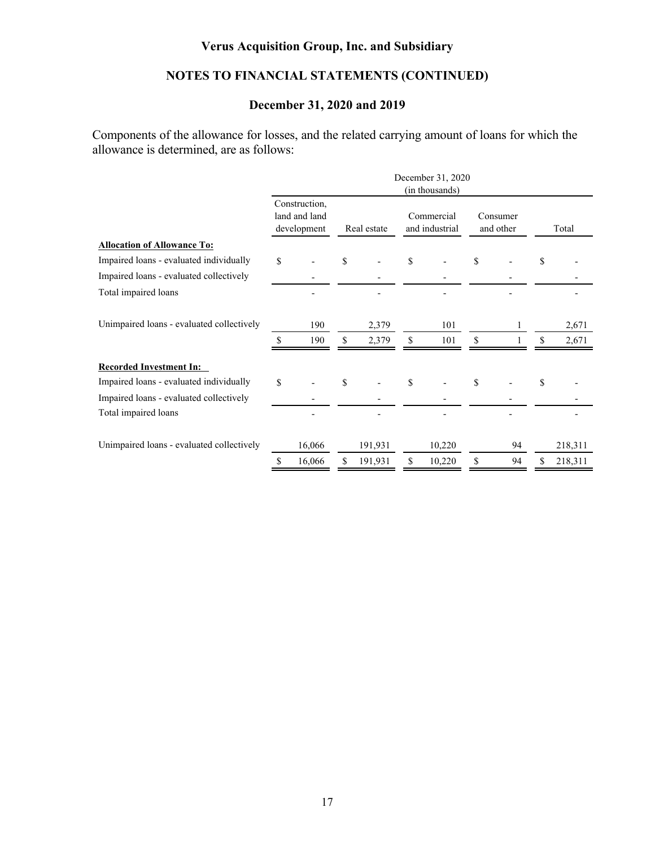## **NOTES TO FINANCIAL STATEMENTS (CONTINUED)**

## **December 31, 2020 and 2019**

Components of the allowance for losses, and the related carrying amount of loans for which the allowance is determined, are as follows:

|                                           |        |                                               |     |             |              | December 31, 2020<br>(in thousands) |                       |    |         |
|-------------------------------------------|--------|-----------------------------------------------|-----|-------------|--------------|-------------------------------------|-----------------------|----|---------|
|                                           |        | Construction,<br>land and land<br>development |     | Real estate |              | Commercial<br>and industrial        | Consumer<br>and other |    | Total   |
| <b>Allocation of Allowance To:</b>        |        |                                               |     |             |              |                                     |                       |    |         |
| Impaired loans - evaluated individually   | \$     |                                               | \$  |             | $\mathbb{S}$ |                                     | \$                    | \$ |         |
| Impaired loans - evaluated collectively   |        |                                               |     |             |              |                                     |                       |    |         |
| Total impaired loans                      |        |                                               |     |             |              |                                     |                       |    |         |
| Unimpaired loans - evaluated collectively |        | 190                                           |     | 2,379       |              | 101                                 |                       |    | 2,671   |
|                                           | \$     | 190                                           | \$. | 2,379       | \$           | 101                                 | \$                    | \$ | 2,671   |
| <b>Recorded Investment In:</b>            |        |                                               |     |             |              |                                     |                       |    |         |
| Impaired loans - evaluated individually   | \$     |                                               | \$  |             | \$           |                                     | \$                    | \$ |         |
| Impaired loans - evaluated collectively   |        |                                               |     |             |              |                                     |                       |    |         |
| Total impaired loans                      |        |                                               |     |             |              |                                     |                       |    |         |
| Unimpaired loans - evaluated collectively | 16,066 |                                               |     | 191,931     | 10,220       |                                     | 94                    |    | 218,311 |
|                                           | S      | 16,066                                        | S   | 191,931     | S            | 10,220                              | \$<br>94              | S  | 218,311 |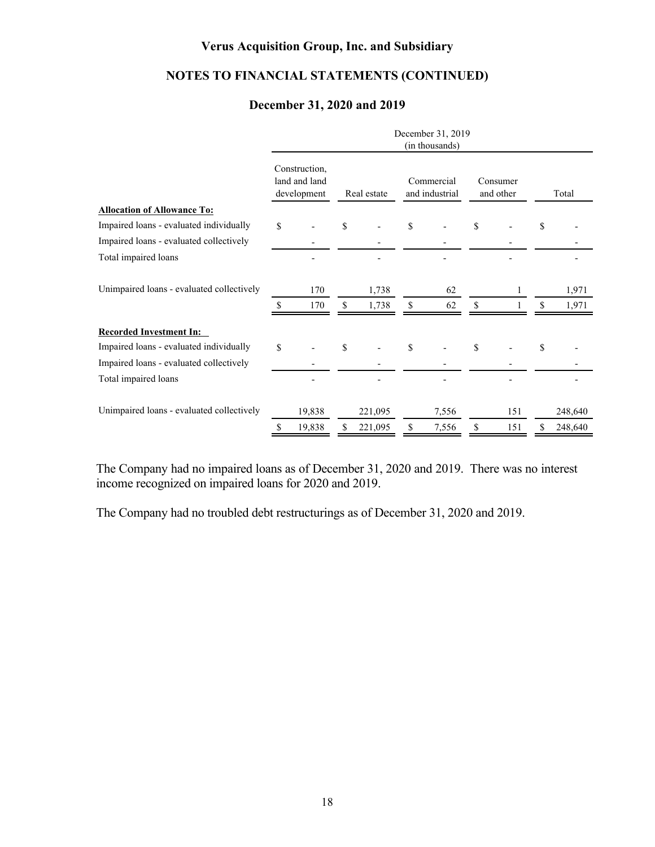## **NOTES TO FINANCIAL STATEMENTS (CONTINUED)**

### **December 31, 2020 and 2019**

|                                           |                                               |    |             |    | December 31, 2019<br>(in thousands) |                       |    |         |
|-------------------------------------------|-----------------------------------------------|----|-------------|----|-------------------------------------|-----------------------|----|---------|
|                                           | Construction,<br>land and land<br>development |    | Real estate |    | Commercial<br>and industrial        | Consumer<br>and other |    | Total   |
| <b>Allocation of Allowance To:</b>        |                                               |    |             |    |                                     |                       |    |         |
| Impaired loans - evaluated individually   | \$                                            | \$ |             | \$ |                                     | \$                    | S  |         |
| Impaired loans - evaluated collectively   |                                               |    |             |    |                                     |                       |    |         |
| Total impaired loans                      |                                               |    |             |    |                                     |                       |    |         |
| Unimpaired loans - evaluated collectively | 170                                           |    | 1,738       |    | 62                                  |                       |    | 1,971   |
|                                           | \$<br>170                                     | \$ | 1,738       | \$ | 62                                  | \$                    |    | 1,971   |
| <b>Recorded Investment In:</b>            |                                               |    |             |    |                                     |                       |    |         |
| Impaired loans - evaluated individually   | \$                                            | \$ |             | \$ |                                     | \$                    | \$ |         |
| Impaired loans - evaluated collectively   |                                               |    |             |    |                                     |                       |    |         |
| Total impaired loans                      |                                               |    |             |    |                                     |                       |    |         |
| Unimpaired loans - evaluated collectively | 19,838                                        |    | 221,095     |    | 7,556                               | 151                   |    | 248,640 |
|                                           | \$<br>19,838                                  |    | 221,095     | S  | 7,556                               | \$<br>151             | S  | 248,640 |

The Company had no impaired loans as of December 31, 2020 and 2019. There was no interest income recognized on impaired loans for 2020 and 2019.

The Company had no troubled debt restructurings as of December 31, 2020 and 2019.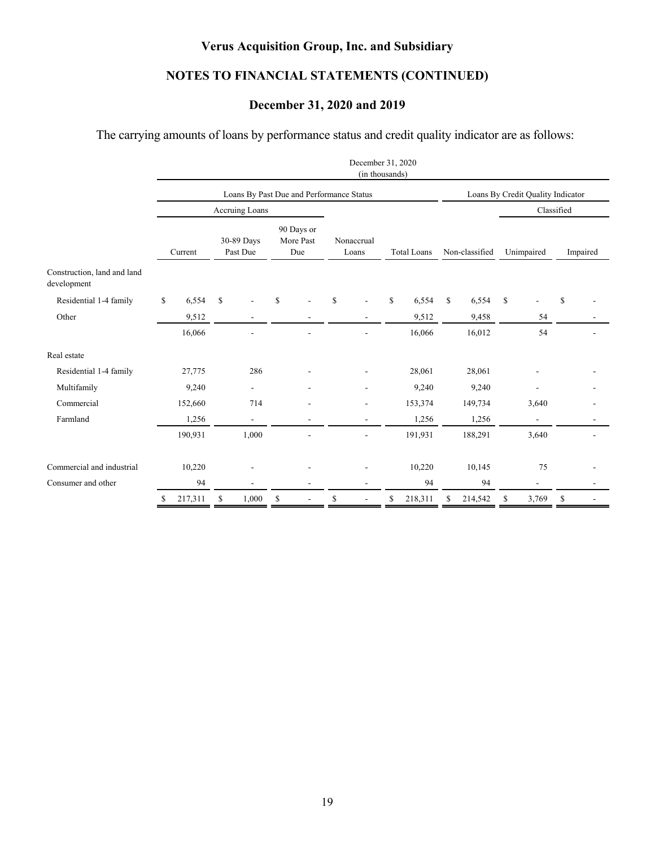## **NOTES TO FINANCIAL STATEMENTS (CONTINUED)**

## **December 31, 2020 and 2019**

The carrying amounts of loans by performance status and credit quality indicator are as follows:

|                                                 |                                                                     |              |                                          |                     |               | December 31, 2020<br>(in thousands) |    |                |                                   |              |              |                |            |  |  |
|-------------------------------------------------|---------------------------------------------------------------------|--------------|------------------------------------------|---------------------|---------------|-------------------------------------|----|----------------|-----------------------------------|--------------|--------------|----------------|------------|--|--|
|                                                 |                                                                     |              | Loans By Past Due and Performance Status |                     |               |                                     |    |                | Loans By Credit Quality Indicator |              |              |                |            |  |  |
|                                                 |                                                                     |              | Accruing Loans                           |                     |               |                                     |    |                |                                   |              |              |                | Classified |  |  |
|                                                 | 90 Days or<br>30-89 Days<br>More Past<br>Past Due<br>Due<br>Current |              |                                          | Nonaccrual<br>Loans |               | <b>Total Loans</b>                  |    | Non-classified | Unimpaired                        |              |              | Impaired       |            |  |  |
| Construction, land and land<br>development      |                                                                     |              |                                          |                     |               |                                     |    |                |                                   |              |              |                |            |  |  |
| Residential 1-4 family                          | \$                                                                  | 6,554        | \$                                       | $\mathbf S$         | <sup>\$</sup> |                                     | S. | 6,554          | \$                                | 6,554        | $\mathbb{S}$ |                | \$         |  |  |
| Other                                           |                                                                     | 9,512        | $\blacksquare$                           |                     |               |                                     |    | 9,512          |                                   | 9,458        |              | 54             |            |  |  |
|                                                 |                                                                     | 16,066       |                                          |                     |               |                                     |    | 16,066         |                                   | 16,012       |              | 54             |            |  |  |
| Real estate                                     |                                                                     |              |                                          |                     |               |                                     |    |                |                                   |              |              |                |            |  |  |
| Residential 1-4 family                          |                                                                     | 27,775       | 286                                      |                     |               |                                     |    | 28,061         |                                   | 28,061       |              |                |            |  |  |
| Multifamily                                     |                                                                     | 9,240        | $\blacksquare$                           |                     |               |                                     |    | 9,240          |                                   | 9,240        |              |                |            |  |  |
| Commercial                                      |                                                                     | 152,660      | 714                                      |                     |               |                                     |    | 153,374        |                                   | 149,734      |              | 3,640          |            |  |  |
| Farmland                                        |                                                                     | 1,256        | $\blacksquare$                           |                     |               | $\overline{\phantom{a}}$            |    | 1,256          |                                   | 1,256        |              | $\blacksquare$ |            |  |  |
|                                                 |                                                                     | 190,931      | 1,000                                    |                     |               |                                     |    | 191,931        |                                   | 188,291      |              | 3,640          |            |  |  |
| Commercial and industrial<br>Consumer and other |                                                                     | 10,220<br>94 |                                          |                     |               | L,                                  |    | 10,220<br>94   |                                   | 10,145<br>94 |              | 75             |            |  |  |
|                                                 | \$                                                                  | 217,311      | \$<br>1,000                              | \$                  | \$            | $\blacksquare$                      | \$ | 218,311        | \$                                | 214,542      | \$           | 3,769          | \$         |  |  |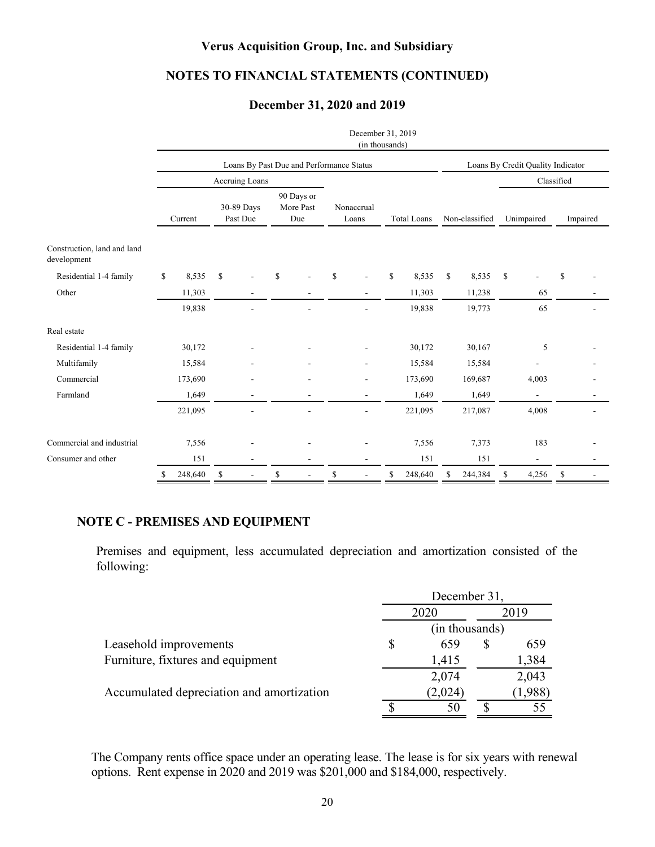### **NOTES TO FINANCIAL STATEMENTS (CONTINUED)**

### **December 31, 2020 and 2019**

|                                            |         |         |                        |                |                                |                                          |                     | December 31, 2019<br>(in thousands) |                    |         |                                   |         |            |                |          |  |  |  |  |
|--------------------------------------------|---------|---------|------------------------|----------------|--------------------------------|------------------------------------------|---------------------|-------------------------------------|--------------------|---------|-----------------------------------|---------|------------|----------------|----------|--|--|--|--|
|                                            |         |         |                        |                |                                | Loans By Past Due and Performance Status |                     |                                     |                    |         | Loans By Credit Quality Indicator |         |            |                |          |  |  |  |  |
|                                            |         |         |                        | Accruing Loans |                                |                                          |                     |                                     |                    |         |                                   |         |            | Classified     |          |  |  |  |  |
|                                            | Current |         | 30-89 Days<br>Past Due |                | 90 Days or<br>More Past<br>Due |                                          | Nonaccrual<br>Loans |                                     | <b>Total Loans</b> |         | Non-classified                    |         | Unimpaired |                | Impaired |  |  |  |  |
| Construction, land and land<br>development |         |         |                        |                |                                |                                          |                     |                                     |                    |         |                                   |         |            |                |          |  |  |  |  |
| Residential 1-4 family                     | \$      | 8,535   | \$                     |                | <sup>\$</sup>                  |                                          | \$                  |                                     | \$                 | 8,535   | \$                                | 8,535   | \$         |                | \$       |  |  |  |  |
| Other                                      |         | 11,303  |                        |                |                                |                                          |                     |                                     |                    | 11,303  |                                   | 11,238  |            | 65             |          |  |  |  |  |
|                                            |         | 19,838  |                        |                |                                |                                          |                     |                                     |                    | 19,838  |                                   | 19,773  |            | 65             |          |  |  |  |  |
| Real estate                                |         |         |                        |                |                                |                                          |                     |                                     |                    |         |                                   |         |            |                |          |  |  |  |  |
| Residential 1-4 family                     |         | 30,172  |                        |                |                                |                                          |                     |                                     |                    | 30,172  |                                   | 30,167  |            | 5              |          |  |  |  |  |
| Multifamily                                |         | 15,584  |                        |                |                                |                                          |                     |                                     |                    | 15,584  |                                   | 15,584  |            |                |          |  |  |  |  |
| Commercial                                 |         | 173,690 |                        |                |                                |                                          |                     |                                     |                    | 173,690 |                                   | 169,687 |            | 4,003          |          |  |  |  |  |
| Farmland                                   |         | 1,649   |                        | $\overline{a}$ |                                |                                          |                     |                                     |                    | 1,649   |                                   | 1,649   |            | $\overline{a}$ |          |  |  |  |  |
|                                            |         | 221,095 |                        |                |                                |                                          |                     |                                     |                    | 221,095 |                                   | 217,087 |            | 4,008          |          |  |  |  |  |
| Commercial and industrial                  |         | 7,556   |                        |                |                                |                                          |                     |                                     |                    | 7,556   |                                   | 7,373   |            | 183            |          |  |  |  |  |
| Consumer and other                         |         | 151     |                        |                |                                |                                          |                     |                                     |                    | 151     |                                   | 151     |            |                |          |  |  |  |  |
|                                            | \$      | 248,640 | \$                     |                | \$                             |                                          | \$                  |                                     | S                  | 248,640 | \$                                | 244,384 | \$         | 4,256          | S        |  |  |  |  |

### **NOTE C - PREMISES AND EQUIPMENT**

Premises and equipment, less accumulated depreciation and amortization consisted of the following:

|                                           | December 31,   |         |  |         |  |
|-------------------------------------------|----------------|---------|--|---------|--|
|                                           | 2020           |         |  | 2019    |  |
|                                           | (in thousands) |         |  |         |  |
| Leasehold improvements                    |                | 659     |  | 659     |  |
| Furniture, fixtures and equipment         |                | 1,415   |  | 1,384   |  |
|                                           |                | 2,074   |  | 2,043   |  |
| Accumulated depreciation and amortization |                | (2,024) |  | (1,988) |  |
|                                           |                | 50      |  |         |  |

The Company rents office space under an operating lease. The lease is for six years with renewal options. Rent expense in 2020 and 2019 was \$201,000 and \$184,000, respectively.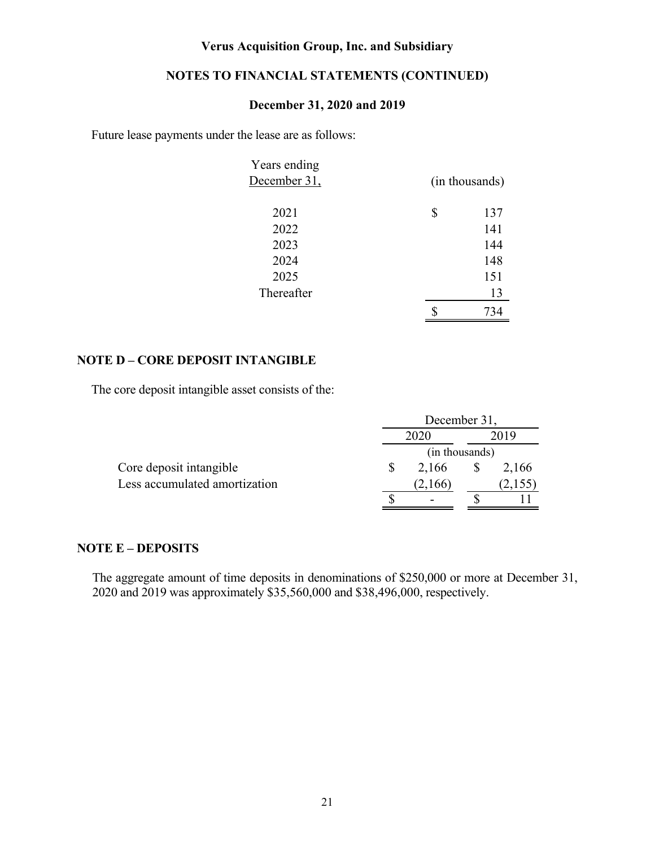### **NOTES TO FINANCIAL STATEMENTS (CONTINUED)**

### **December 31, 2020 and 2019**

Future lease payments under the lease are as follows:

| Years ending |                |
|--------------|----------------|
| December 31, | (in thousands) |
|              |                |
| 2021         | \$<br>137      |
| 2022         | 141            |
| 2023         | 144            |
| 2024         | 148            |
| 2025         | 151            |
| Thereafter   | 13             |
|              | 734            |

### **NOTE D – CORE DEPOSIT INTANGIBLE**

The core deposit intangible asset consists of the:

|                               |      | December 31,   |  |         |  |
|-------------------------------|------|----------------|--|---------|--|
|                               | 2020 |                |  |         |  |
|                               |      | (in thousands) |  |         |  |
| Core deposit intangible       |      | 2,166          |  | 2,166   |  |
| Less accumulated amortization |      | (2,166)        |  | (2,155) |  |
|                               |      |                |  |         |  |

### **NOTE E – DEPOSITS**

The aggregate amount of time deposits in denominations of \$250,000 or more at December 31, 2020 and 2019 was approximately \$35,560,000 and \$38,496,000, respectively.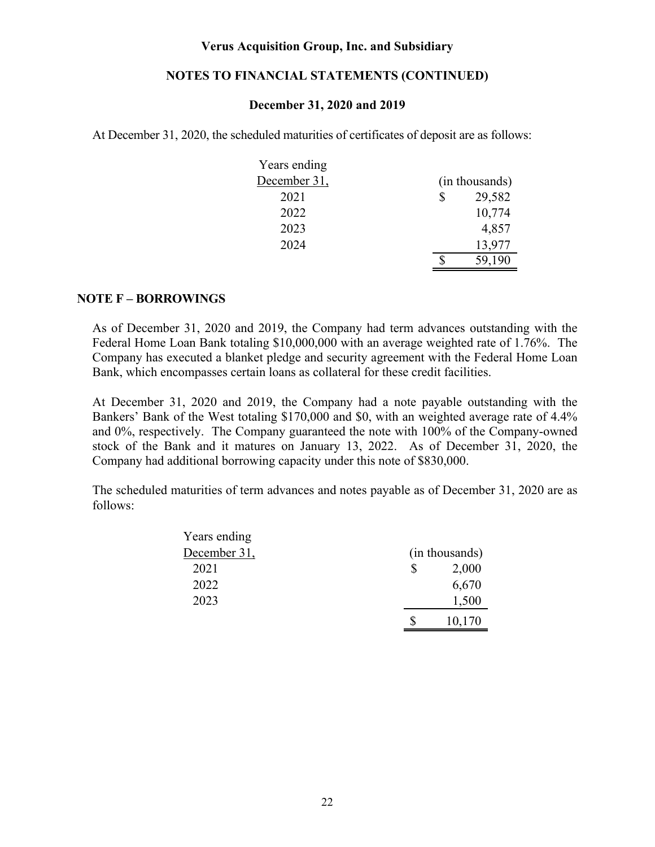### **NOTES TO FINANCIAL STATEMENTS (CONTINUED)**

#### **December 31, 2020 and 2019**

At December 31, 2020, the scheduled maturities of certificates of deposit are as follows:

| Years ending |   |                |
|--------------|---|----------------|
| December 31, |   | (in thousands) |
| 2021         | S | 29,582         |
| 2022         |   | 10,774         |
| 2023         |   | 4,857          |
| 2024         |   | 13,977         |
|              |   | 59,190         |

#### **NOTE F – BORROWINGS**

As of December 31, 2020 and 2019, the Company had term advances outstanding with the Federal Home Loan Bank totaling \$10,000,000 with an average weighted rate of 1.76%. The Company has executed a blanket pledge and security agreement with the Federal Home Loan Bank, which encompasses certain loans as collateral for these credit facilities.

At December 31, 2020 and 2019, the Company had a note payable outstanding with the Bankers' Bank of the West totaling \$170,000 and \$0, with an weighted average rate of 4.4% and 0%, respectively. The Company guaranteed the note with 100% of the Company-owned stock of the Bank and it matures on January 13, 2022. As of December 31, 2020, the Company had additional borrowing capacity under this note of \$830,000.

The scheduled maturities of term advances and notes payable as of December 31, 2020 are as follows:

| Years ending |                |
|--------------|----------------|
| December 31, | (in thousands) |
| 2021         | \$<br>2,000    |
| 2022         | 6,670          |
| 2023         | 1,500          |
|              | 10,170         |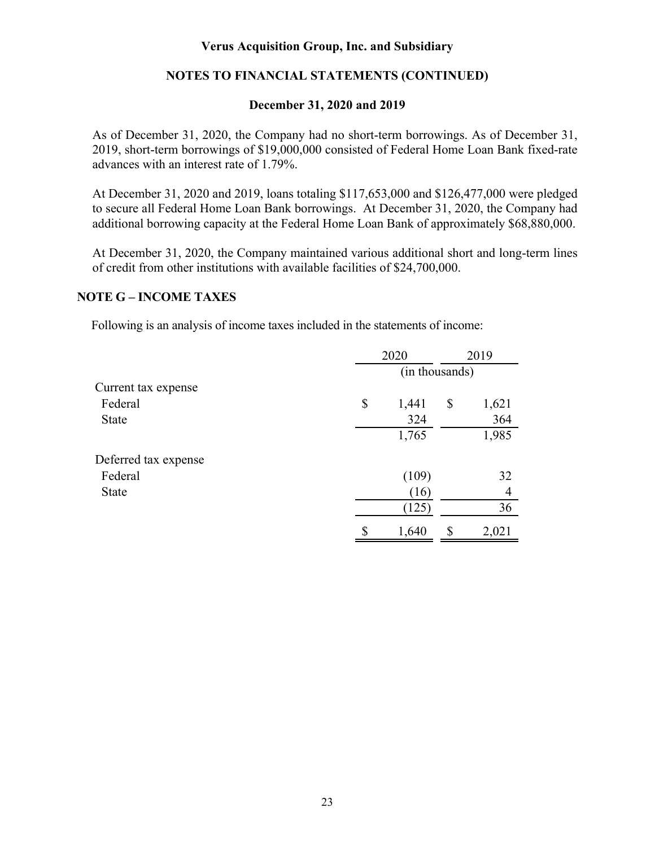### **NOTES TO FINANCIAL STATEMENTS (CONTINUED)**

### **December 31, 2020 and 2019**

As of December 31, 2020, the Company had no short-term borrowings. As of December 31, 2019, short-term borrowings of \$19,000,000 consisted of Federal Home Loan Bank fixed-rate advances with an interest rate of 1.79%.

At December 31, 2020 and 2019, loans totaling \$117,653,000 and \$126,477,000 were pledged to secure all Federal Home Loan Bank borrowings. At December 31, 2020, the Company had additional borrowing capacity at the Federal Home Loan Bank of approximately \$68,880,000.

At December 31, 2020, the Company maintained various additional short and long-term lines of credit from other institutions with available facilities of \$24,700,000.

### **NOTE G – INCOME TAXES**

Following is an analysis of income taxes included in the statements of income:

|                      | 2020           |    | 2019  |  |  |
|----------------------|----------------|----|-------|--|--|
|                      | (in thousands) |    |       |  |  |
| Current tax expense  |                |    |       |  |  |
| Federal              | \$<br>1,441    | \$ | 1,621 |  |  |
| <b>State</b>         | 324            |    | 364   |  |  |
|                      | 1,765          |    | 1,985 |  |  |
| Deferred tax expense |                |    |       |  |  |
| Federal              | (109)          |    | 32    |  |  |
| <b>State</b>         | (16)           |    | 4     |  |  |
|                      | (125)          |    | 36    |  |  |
|                      | \$<br>1,640    | \$ | 2,021 |  |  |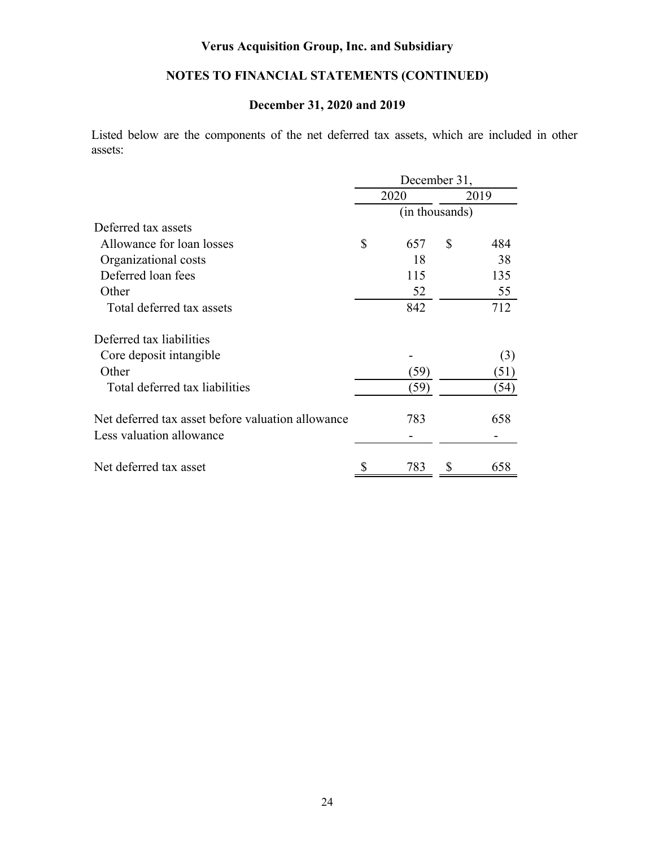## **NOTES TO FINANCIAL STATEMENTS (CONTINUED)**

### **December 31, 2020 and 2019**

Listed below are the components of the net deferred tax assets, which are included in other assets:

|                                                   | December 31,   |      |      |      |  |
|---------------------------------------------------|----------------|------|------|------|--|
|                                                   | 2020           |      | 2019 |      |  |
|                                                   | (in thousands) |      |      |      |  |
| Deferred tax assets                               |                |      |      |      |  |
| Allowance for loan losses                         | \$             | 657  | \$   | 484  |  |
| Organizational costs                              |                | 18   |      | 38   |  |
| Deferred loan fees                                |                | 115  |      | 135  |  |
| Other                                             |                | 52   |      | 55   |  |
| Total deferred tax assets                         |                | 842  |      | 712  |  |
| Deferred tax liabilities                          |                |      |      |      |  |
| Core deposit intangible                           |                |      |      | (3)  |  |
| Other                                             |                | (59) |      | (51) |  |
| Total deferred tax liabilities                    |                | (59) |      | (54) |  |
| Net deferred tax asset before valuation allowance |                | 783  |      | 658  |  |
| Less valuation allowance                          |                |      |      |      |  |
| Net deferred tax asset                            | \$             | 783  | \$   | 658  |  |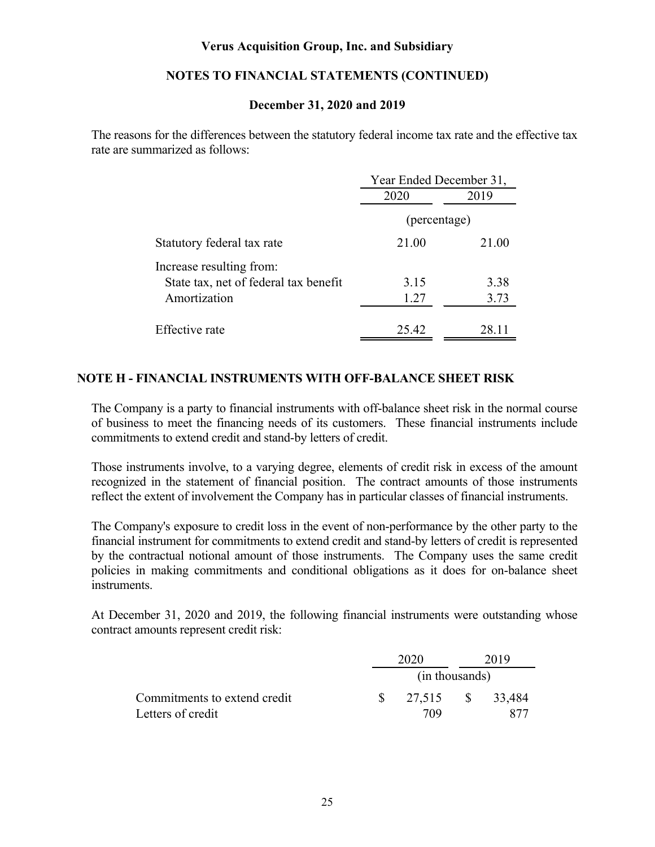### **NOTES TO FINANCIAL STATEMENTS (CONTINUED)**

### **December 31, 2020 and 2019**

The reasons for the differences between the statutory federal income tax rate and the effective tax rate are summarized as follows:

|                                       | Year Ended December 31, |       |  |  |
|---------------------------------------|-------------------------|-------|--|--|
|                                       | 2020                    | 2019  |  |  |
|                                       | (percentage)            |       |  |  |
| Statutory federal tax rate            | 21.00                   | 21.00 |  |  |
| Increase resulting from:              |                         |       |  |  |
| State tax, net of federal tax benefit | 3.15                    | 3.38  |  |  |
| Amortization                          | 1.27                    | 3.73  |  |  |
| Effective rate                        | 25.42                   | 28.11 |  |  |

### **NOTE H - FINANCIAL INSTRUMENTS WITH OFF-BALANCE SHEET RISK**

The Company is a party to financial instruments with off-balance sheet risk in the normal course of business to meet the financing needs of its customers. These financial instruments include commitments to extend credit and stand-by letters of credit.

Those instruments involve, to a varying degree, elements of credit risk in excess of the amount recognized in the statement of financial position. The contract amounts of those instruments reflect the extent of involvement the Company has in particular classes of financial instruments.

The Company's exposure to credit loss in the event of non-performance by the other party to the financial instrument for commitments to extend credit and stand-by letters of credit is represented by the contractual notional amount of those instruments. The Company uses the same credit policies in making commitments and conditional obligations as it does for on-balance sheet instruments.

At December 31, 2020 and 2019, the following financial instruments were outstanding whose contract amounts represent credit risk:

|                              | 2020           |              | 2019   |  |
|------------------------------|----------------|--------------|--------|--|
|                              | (in thousands) |              |        |  |
| Commitments to extend credit | 27,515         | $^{\circ}$ S | 33,484 |  |
| Letters of credit            | 709            |              |        |  |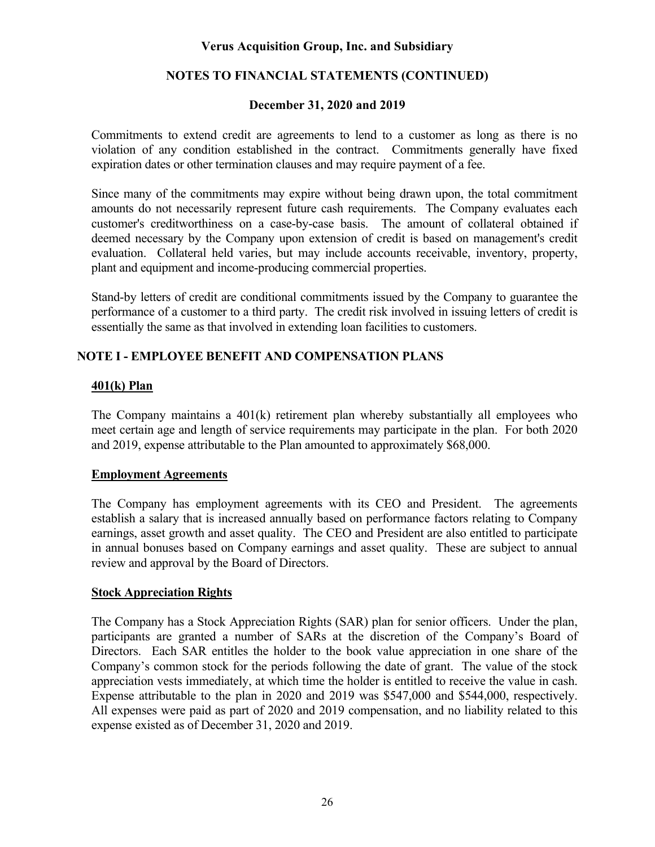### **NOTES TO FINANCIAL STATEMENTS (CONTINUED)**

### **December 31, 2020 and 2019**

Commitments to extend credit are agreements to lend to a customer as long as there is no violation of any condition established in the contract. Commitments generally have fixed expiration dates or other termination clauses and may require payment of a fee.

Since many of the commitments may expire without being drawn upon, the total commitment amounts do not necessarily represent future cash requirements. The Company evaluates each customer's creditworthiness on a case-by-case basis. The amount of collateral obtained if deemed necessary by the Company upon extension of credit is based on management's credit evaluation. Collateral held varies, but may include accounts receivable, inventory, property, plant and equipment and income-producing commercial properties.

Stand-by letters of credit are conditional commitments issued by the Company to guarantee the performance of a customer to a third party. The credit risk involved in issuing letters of credit is essentially the same as that involved in extending loan facilities to customers.

### **NOTE I - EMPLOYEE BENEFIT AND COMPENSATION PLANS**

### **401(k) Plan**

The Company maintains a 401(k) retirement plan whereby substantially all employees who meet certain age and length of service requirements may participate in the plan. For both 2020 and 2019, expense attributable to the Plan amounted to approximately \$68,000.

### **Employment Agreements**

The Company has employment agreements with its CEO and President. The agreements establish a salary that is increased annually based on performance factors relating to Company earnings, asset growth and asset quality. The CEO and President are also entitled to participate in annual bonuses based on Company earnings and asset quality. These are subject to annual review and approval by the Board of Directors.

### **Stock Appreciation Rights**

The Company has a Stock Appreciation Rights (SAR) plan for senior officers. Under the plan, participants are granted a number of SARs at the discretion of the Company's Board of Directors. Each SAR entitles the holder to the book value appreciation in one share of the Company's common stock for the periods following the date of grant. The value of the stock appreciation vests immediately, at which time the holder is entitled to receive the value in cash. Expense attributable to the plan in 2020 and 2019 was \$547,000 and \$544,000, respectively. All expenses were paid as part of 2020 and 2019 compensation, and no liability related to this expense existed as of December 31, 2020 and 2019.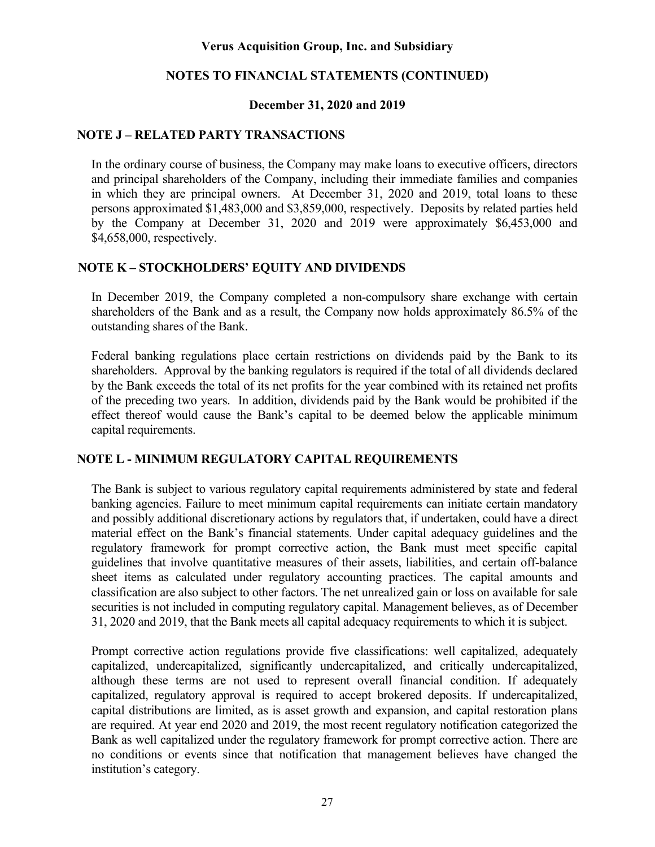### **NOTES TO FINANCIAL STATEMENTS (CONTINUED)**

### **December 31, 2020 and 2019**

### **NOTE J – RELATED PARTY TRANSACTIONS**

In the ordinary course of business, the Company may make loans to executive officers, directors and principal shareholders of the Company, including their immediate families and companies in which they are principal owners. At December 31, 2020 and 2019, total loans to these persons approximated \$1,483,000 and \$3,859,000, respectively. Deposits by related parties held by the Company at December 31, 2020 and 2019 were approximately \$6,453,000 and \$4,658,000, respectively.

### **NOTE K – STOCKHOLDERS' EQUITY AND DIVIDENDS**

In December 2019, the Company completed a non-compulsory share exchange with certain shareholders of the Bank and as a result, the Company now holds approximately 86.5% of the outstanding shares of the Bank.

Federal banking regulations place certain restrictions on dividends paid by the Bank to its shareholders. Approval by the banking regulators is required if the total of all dividends declared by the Bank exceeds the total of its net profits for the year combined with its retained net profits of the preceding two years. In addition, dividends paid by the Bank would be prohibited if the effect thereof would cause the Bank's capital to be deemed below the applicable minimum capital requirements.

### **NOTE L - MINIMUM REGULATORY CAPITAL REQUIREMENTS**

The Bank is subject to various regulatory capital requirements administered by state and federal banking agencies. Failure to meet minimum capital requirements can initiate certain mandatory and possibly additional discretionary actions by regulators that, if undertaken, could have a direct material effect on the Bank's financial statements. Under capital adequacy guidelines and the regulatory framework for prompt corrective action, the Bank must meet specific capital guidelines that involve quantitative measures of their assets, liabilities, and certain off-balance sheet items as calculated under regulatory accounting practices. The capital amounts and classification are also subject to other factors. The net unrealized gain or loss on available for sale securities is not included in computing regulatory capital. Management believes, as of December 31, 2020 and 2019, that the Bank meets all capital adequacy requirements to which it is subject.

Prompt corrective action regulations provide five classifications: well capitalized, adequately capitalized, undercapitalized, significantly undercapitalized, and critically undercapitalized, although these terms are not used to represent overall financial condition. If adequately capitalized, regulatory approval is required to accept brokered deposits. If undercapitalized, capital distributions are limited, as is asset growth and expansion, and capital restoration plans are required. At year end 2020 and 2019, the most recent regulatory notification categorized the Bank as well capitalized under the regulatory framework for prompt corrective action. There are no conditions or events since that notification that management believes have changed the institution's category.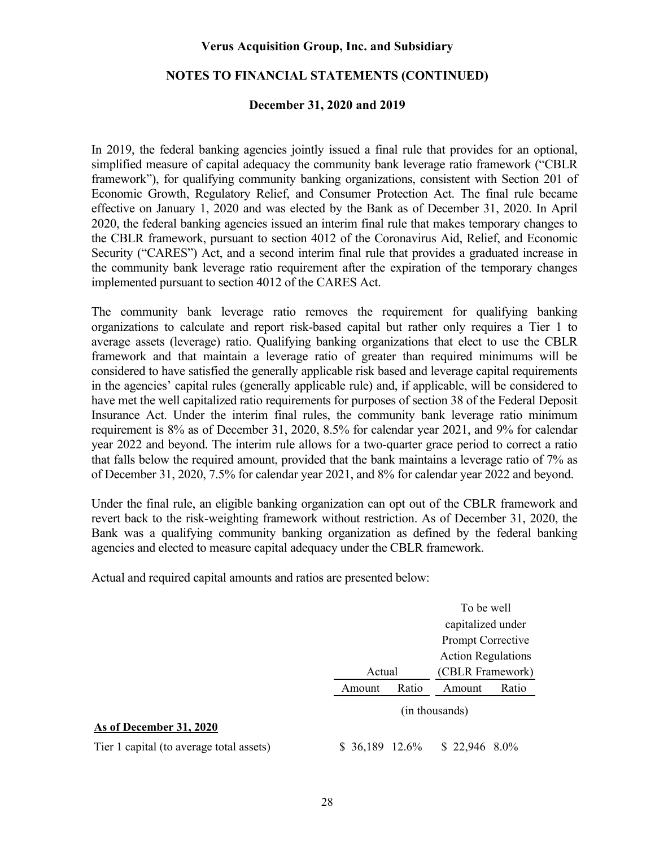### **NOTES TO FINANCIAL STATEMENTS (CONTINUED)**

### **December 31, 2020 and 2019**

In 2019, the federal banking agencies jointly issued a final rule that provides for an optional, simplified measure of capital adequacy the community bank leverage ratio framework ("CBLR framework"), for qualifying community banking organizations, consistent with Section 201 of Economic Growth, Regulatory Relief, and Consumer Protection Act. The final rule became effective on January 1, 2020 and was elected by the Bank as of December 31, 2020. In April 2020, the federal banking agencies issued an interim final rule that makes temporary changes to the CBLR framework, pursuant to section 4012 of the Coronavirus Aid, Relief, and Economic Security ("CARES") Act, and a second interim final rule that provides a graduated increase in the community bank leverage ratio requirement after the expiration of the temporary changes implemented pursuant to section 4012 of the CARES Act.

The community bank leverage ratio removes the requirement for qualifying banking organizations to calculate and report risk-based capital but rather only requires a Tier 1 to average assets (leverage) ratio. Qualifying banking organizations that elect to use the CBLR framework and that maintain a leverage ratio of greater than required minimums will be considered to have satisfied the generally applicable risk based and leverage capital requirements in the agencies' capital rules (generally applicable rule) and, if applicable, will be considered to have met the well capitalized ratio requirements for purposes of section 38 of the Federal Deposit Insurance Act. Under the interim final rules, the community bank leverage ratio minimum requirement is 8% as of December 31, 2020, 8.5% for calendar year 2021, and 9% for calendar year 2022 and beyond. The interim rule allows for a two-quarter grace period to correct a ratio that falls below the required amount, provided that the bank maintains a leverage ratio of 7% as of December 31, 2020, 7.5% for calendar year 2021, and 8% for calendar year 2022 and beyond.

Under the final rule, an eligible banking organization can opt out of the CBLR framework and revert back to the risk-weighting framework without restriction. As of December 31, 2020, the Bank was a qualifying community banking organization as defined by the federal banking agencies and elected to measure capital adequacy under the CBLR framework.

Actual and required capital amounts and ratios are presented below:

|                                          | To be well      |        |                           |                  |  |
|------------------------------------------|-----------------|--------|---------------------------|------------------|--|
|                                          |                 |        | capitalized under         |                  |  |
|                                          |                 |        | <b>Prompt Corrective</b>  |                  |  |
|                                          |                 |        | <b>Action Regulations</b> |                  |  |
|                                          |                 | Actual |                           | (CBLR Framework) |  |
|                                          | Amount          | Ratio  | Amount                    | Ratio            |  |
|                                          |                 |        | (in thousands)            |                  |  |
| As of December 31, 2020                  |                 |        |                           |                  |  |
| Tier 1 capital (to average total assets) | $$36,189$ 12.6% |        | $$22,946$ 8.0%            |                  |  |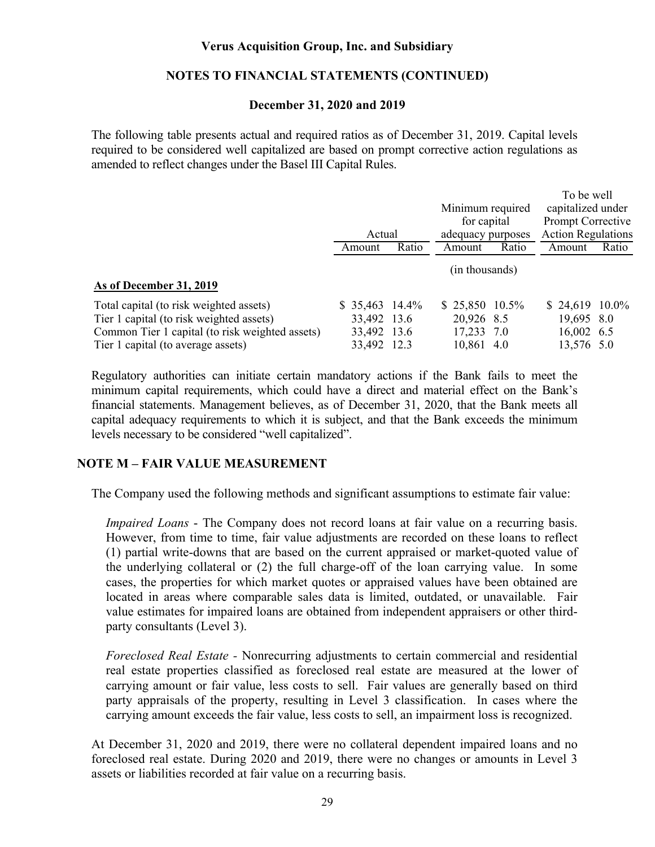### **NOTES TO FINANCIAL STATEMENTS (CONTINUED)**

### **December 31, 2020 and 2019**

The following table presents actual and required ratios as of December 31, 2019. Capital levels required to be considered well capitalized are based on prompt corrective action regulations as amended to reflect changes under the Basel III Capital Rules.

|                                                 |                 |       |                   |       | To be well                |       |
|-------------------------------------------------|-----------------|-------|-------------------|-------|---------------------------|-------|
|                                                 |                 |       | Minimum required  |       | capitalized under         |       |
|                                                 |                 |       | for capital       |       | Prompt Corrective         |       |
|                                                 | Actual          |       | adequacy purposes |       | <b>Action Regulations</b> |       |
|                                                 | Amount          | Ratio | Amount            | Ratio | Amount                    | Ratio |
|                                                 |                 |       | (in thousands)    |       |                           |       |
| As of December 31, 2019                         |                 |       |                   |       |                           |       |
| Total capital (to risk weighted assets)         | $$35,463$ 14.4% |       | $$25,850$ 10.5%   |       | $$24,619$ 10.0%           |       |
| Tier 1 capital (to risk weighted assets)        | 33,492 13.6     |       | 20,926 8.5        |       | 19,695 8.0                |       |
| Common Tier 1 capital (to risk weighted assets) | 33,492 13.6     |       | 17,233 7.0        |       | 16,002 6.5                |       |
| Tier 1 capital (to average assets)              | 33,492 12.3     |       | 10,861 4.0        |       | 13,576 5.0                |       |

Regulatory authorities can initiate certain mandatory actions if the Bank fails to meet the minimum capital requirements, which could have a direct and material effect on the Bank's financial statements. Management believes, as of December 31, 2020, that the Bank meets all capital adequacy requirements to which it is subject, and that the Bank exceeds the minimum levels necessary to be considered "well capitalized".

### **NOTE M – FAIR VALUE MEASUREMENT**

The Company used the following methods and significant assumptions to estimate fair value:

*Impaired Loans* - The Company does not record loans at fair value on a recurring basis. However, from time to time, fair value adjustments are recorded on these loans to reflect (1) partial write-downs that are based on the current appraised or market-quoted value of the underlying collateral or (2) the full charge-off of the loan carrying value. In some cases, the properties for which market quotes or appraised values have been obtained are located in areas where comparable sales data is limited, outdated, or unavailable. Fair value estimates for impaired loans are obtained from independent appraisers or other thirdparty consultants (Level 3).

*Foreclosed Real Estate -* Nonrecurring adjustments to certain commercial and residential real estate properties classified as foreclosed real estate are measured at the lower of carrying amount or fair value, less costs to sell. Fair values are generally based on third party appraisals of the property, resulting in Level 3 classification. In cases where the carrying amount exceeds the fair value, less costs to sell, an impairment loss is recognized.

At December 31, 2020 and 2019, there were no collateral dependent impaired loans and no foreclosed real estate. During 2020 and 2019, there were no changes or amounts in Level 3 assets or liabilities recorded at fair value on a recurring basis.